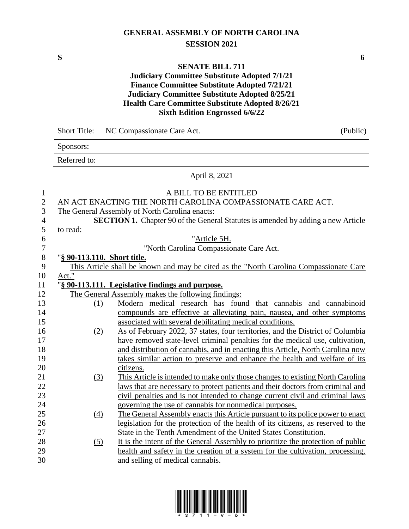### **GENERAL ASSEMBLY OF NORTH CAROLINA SESSION 2021**

**S 6**

#### **SENATE BILL 711**

### **Judiciary Committee Substitute Adopted 7/1/21 Finance Committee Substitute Adopted 7/21/21 Judiciary Committee Substitute Adopted 8/25/21 Health Care Committee Substitute Adopted 8/26/21 Sixth Edition Engrossed 6/6/22**

|                  | <b>Short Title:</b>         | NC Compassionate Care Act.                                                              | (Public) |
|------------------|-----------------------------|-----------------------------------------------------------------------------------------|----------|
|                  | Sponsors:                   |                                                                                         |          |
|                  | Referred to:                |                                                                                         |          |
|                  |                             | April 8, 2021                                                                           |          |
| $\mathbf{1}$     |                             | A BILL TO BE ENTITLED                                                                   |          |
| $\overline{2}$   |                             | AN ACT ENACTING THE NORTH CAROLINA COMPASSIONATE CARE ACT.                              |          |
| 3                |                             | The General Assembly of North Carolina enacts:                                          |          |
| $\overline{4}$   |                             | <b>SECTION 1.</b> Chapter 90 of the General Statutes is amended by adding a new Article |          |
| 5                | to read:                    |                                                                                         |          |
| 6                |                             | "Article 5H.                                                                            |          |
| $\boldsymbol{7}$ |                             | "North Carolina Compassionate Care Act.                                                 |          |
| $8\,$            | "§ 90-113.110. Short title. |                                                                                         |          |
| 9                |                             | This Article shall be known and may be cited as the "North Carolina Compassionate Care  |          |
| 10               | Act."                       |                                                                                         |          |
| 11               |                             | "§ 90-113.111. Legislative findings and purpose.                                        |          |
| 12               |                             | The General Assembly makes the following findings:                                      |          |
| 13               | (1)                         | Modern medical research has found that cannabis and cannabinoid                         |          |
| 14               |                             | compounds are effective at alleviating pain, nausea, and other symptoms                 |          |
| 15               |                             | associated with several debilitating medical conditions.                                |          |
| 16               | (2)                         | As of February 2022, 37 states, four territories, and the District of Columbia          |          |
| 17               |                             | have removed state-level criminal penalties for the medical use, cultivation,           |          |
| 18               |                             | and distribution of cannabis, and in enacting this Article, North Carolina now          |          |
| 19               |                             | takes similar action to preserve and enhance the health and welfare of its              |          |
| 20               |                             | citizens.                                                                               |          |
| 21               | (3)                         | This Article is intended to make only those changes to existing North Carolina          |          |
| 22               |                             | laws that are necessary to protect patients and their doctors from criminal and         |          |
| 23               |                             | civil penalties and is not intended to change current civil and criminal laws           |          |
| 24               |                             | governing the use of cannabis for nonmedical purposes.                                  |          |
| 25               | (4)                         | The General Assembly enacts this Article pursuant to its police power to enact          |          |
| 26               |                             | legislation for the protection of the health of its citizens, as reserved to the        |          |
| 27               |                             | State in the Tenth Amendment of the United States Constitution.                         |          |
| 28               | (5)                         | It is the intent of the General Assembly to prioritize the protection of public         |          |
| 29               |                             | health and safety in the creation of a system for the cultivation, processing,          |          |
| 30               |                             | and selling of medical cannabis.                                                        |          |

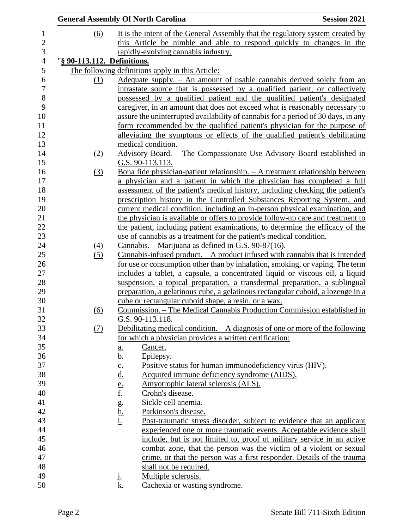|                             | <b>General Assembly Of North Carolina</b>                                                                                                                                                          | <b>Session 2021</b>                                                                                                                                    |
|-----------------------------|----------------------------------------------------------------------------------------------------------------------------------------------------------------------------------------------------|--------------------------------------------------------------------------------------------------------------------------------------------------------|
| (6)                         |                                                                                                                                                                                                    | It is the intent of the General Assembly that the regulatory system created by                                                                         |
|                             |                                                                                                                                                                                                    | this Article be nimble and able to respond quickly to changes in the                                                                                   |
|                             | rapidly-evolving cannabis industry.                                                                                                                                                                |                                                                                                                                                        |
| "§ 90-113.112. Definitions. |                                                                                                                                                                                                    |                                                                                                                                                        |
|                             | The following definitions apply in this Article:                                                                                                                                                   |                                                                                                                                                        |
| $\Omega$                    |                                                                                                                                                                                                    | Adequate supply. – An amount of usable cannabis derived solely from an                                                                                 |
|                             |                                                                                                                                                                                                    | intrastate source that is possessed by a qualified patient, or collectively                                                                            |
|                             |                                                                                                                                                                                                    | possessed by a qualified patient and the qualified patient's designated                                                                                |
|                             |                                                                                                                                                                                                    | caregiver, in an amount that does not exceed what is reasonably necessary to                                                                           |
|                             |                                                                                                                                                                                                    | assure the uninterrupted availability of cannabis for a period of 30 days, in any                                                                      |
|                             |                                                                                                                                                                                                    | form recommended by the qualified patient's physician for the purpose of                                                                               |
|                             |                                                                                                                                                                                                    | alleviating the symptoms or effects of the qualified patient's debilitating                                                                            |
|                             | medical condition.                                                                                                                                                                                 |                                                                                                                                                        |
| (2)                         |                                                                                                                                                                                                    | Advisory Board. – The Compassionate Use Advisory Board established in                                                                                  |
|                             | G.S. 90-113.113.                                                                                                                                                                                   |                                                                                                                                                        |
|                             |                                                                                                                                                                                                    | Bona fide physician-patient relationship. $- A$ treatment relationship between                                                                         |
| (3)                         |                                                                                                                                                                                                    | a physician and a patient in which the physician has completed a full                                                                                  |
|                             |                                                                                                                                                                                                    | assessment of the patient's medical history, including checking the patient's                                                                          |
|                             |                                                                                                                                                                                                    |                                                                                                                                                        |
|                             |                                                                                                                                                                                                    | prescription history in the Controlled Substances Reporting System, and<br>current medical condition, including an in-person physical examination, and |
|                             |                                                                                                                                                                                                    | the physician is available or offers to provide follow-up care and treatment to                                                                        |
|                             |                                                                                                                                                                                                    | the patient, including patient examinations, to determine the efficacy of the                                                                          |
|                             |                                                                                                                                                                                                    |                                                                                                                                                        |
|                             |                                                                                                                                                                                                    | use of cannabis as a treatment for the patient's medical condition.                                                                                    |
| <u>(4)</u>                  |                                                                                                                                                                                                    | Cannabis. - Marijuana as defined in G.S. 90-87(16).                                                                                                    |
| (5)                         |                                                                                                                                                                                                    | Cannabis-infused product. $-A$ product infused with cannabis that is intended                                                                          |
|                             |                                                                                                                                                                                                    | for use or consumption other than by inhalation, smoking, or vaping. The term                                                                          |
|                             |                                                                                                                                                                                                    | includes a tablet, a capsule, a concentrated liquid or viscous oil, a liquid                                                                           |
|                             |                                                                                                                                                                                                    | suspension, a topical preparation, a transdermal preparation, a sublingual                                                                             |
|                             |                                                                                                                                                                                                    | preparation, a gelatinous cube, a gelatinous rectangular cuboid, a lozenge in a<br>cube or rectangular cuboid shape, a resin, or a wax.                |
| (6)                         |                                                                                                                                                                                                    |                                                                                                                                                        |
|                             |                                                                                                                                                                                                    | Commission. - The Medical Cannabis Production Commission established in                                                                                |
|                             | G.S. 90-113.118.                                                                                                                                                                                   |                                                                                                                                                        |
| (7)                         |                                                                                                                                                                                                    | Debilitating medical condition. $-A$ diagnosis of one or more of the following                                                                         |
|                             |                                                                                                                                                                                                    | for which a physician provides a written certification:                                                                                                |
|                             | Cancer.<br><u>a.</u>                                                                                                                                                                               |                                                                                                                                                        |
|                             | <u>b.</u><br>Epilepsy.                                                                                                                                                                             |                                                                                                                                                        |
|                             |                                                                                                                                                                                                    | Positive status for human immunodeficiency virus (HIV).                                                                                                |
|                             | $\underline{\underline{c}}$ .<br>$\underline{\underline{d}}$ .<br>$\underline{\underline{e}}$ .<br>$\underline{\underline{f}}$ .<br>$\underline{\underline{h}}$ .<br>$\underline{\underline{h}}$ . | Acquired immune deficiency syndrome (AIDS).                                                                                                            |
|                             |                                                                                                                                                                                                    | Amyotrophic lateral sclerosis (ALS).                                                                                                                   |
|                             | Crohn's disease.                                                                                                                                                                                   |                                                                                                                                                        |
|                             | Sickle cell anemia.                                                                                                                                                                                |                                                                                                                                                        |
|                             | Parkinson's disease.                                                                                                                                                                               |                                                                                                                                                        |
|                             |                                                                                                                                                                                                    | Post-traumatic stress disorder, subject to evidence that an applicant                                                                                  |
|                             |                                                                                                                                                                                                    | experienced one or more traumatic events. Acceptable evidence shall                                                                                    |
|                             |                                                                                                                                                                                                    | include, but is not limited to, proof of military service in an active                                                                                 |
|                             |                                                                                                                                                                                                    | combat zone, that the person was the victim of a violent or sexual                                                                                     |
|                             |                                                                                                                                                                                                    | crime, or that the person was a first responder. Details of the trauma                                                                                 |
|                             | shall not be required.                                                                                                                                                                             |                                                                                                                                                        |
|                             | Multiple sclerosis.<br>j.                                                                                                                                                                          |                                                                                                                                                        |
|                             | k.                                                                                                                                                                                                 | Cachexia or wasting syndrome.                                                                                                                          |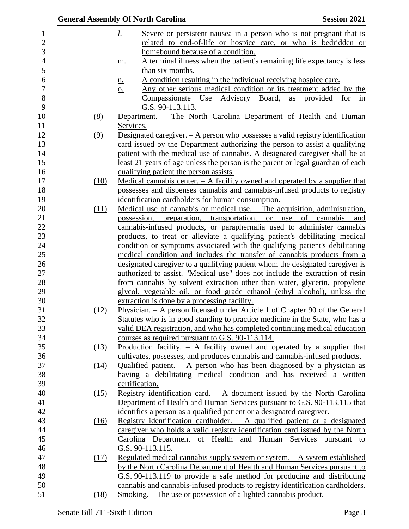|      | <b>General Assembly Of North Carolina</b>                                                                                                      | <b>Session 2021</b>      |
|------|------------------------------------------------------------------------------------------------------------------------------------------------|--------------------------|
|      | Severe or persistent nausea in a person who is not pregnant that is<br><u>l.</u>                                                               |                          |
|      | related to end-of-life or hospice care, or who is bedridden or                                                                                 |                          |
|      | homebound because of a condition.                                                                                                              |                          |
|      | A terminal illness when the patient's remaining life expectancy is less<br>m.                                                                  |                          |
|      | than six months.                                                                                                                               |                          |
|      | A condition resulting in the individual receiving hospice care.<br><u>n.</u>                                                                   |                          |
|      | Any other serious medical condition or its treatment added by the<br>$\underline{\mathbf{O}}$ .                                                |                          |
|      | Compassionate Use Advisory Board,                                                                                                              | as provided<br>for<br>in |
|      | G.S. 90-113.113.                                                                                                                               |                          |
| (8)  | Department. - The North Carolina Department of Health and Human                                                                                |                          |
|      | Services.                                                                                                                                      |                          |
| (9)  | Designated caregiver. $-$ A person who possesses a valid registry identification                                                               |                          |
|      | card issued by the Department authorizing the person to assist a qualifying                                                                    |                          |
|      | patient with the medical use of cannabis. A designated caregiver shall be at                                                                   |                          |
|      | least 21 years of age unless the person is the parent or legal guardian of each                                                                |                          |
|      | qualifying patient the person assists.                                                                                                         |                          |
| (10) | Medical cannabis center. $- A$ facility owned and operated by a supplier that                                                                  |                          |
|      | possesses and dispenses cannabis and cannabis-infused products to registry                                                                     |                          |
|      | identification cardholders for human consumption.                                                                                              |                          |
| (11) | Medical use of cannabis or medical use. $-$ The acquisition, administration,                                                                   |                          |
|      | possession, preparation, transportation, or use                                                                                                | of cannabis<br>and       |
|      | cannabis-infused products, or paraphernalia used to administer cannabis                                                                        |                          |
|      | products, to treat or alleviate a qualifying patient's debilitating medical                                                                    |                          |
|      | condition or symptoms associated with the qualifying patient's debilitating                                                                    |                          |
|      | medical condition and includes the transfer of cannabis products from a                                                                        |                          |
|      | designated caregiver to a qualifying patient whom the designated caregiver is                                                                  |                          |
|      | authorized to assist. "Medical use" does not include the extraction of resin                                                                   |                          |
|      | from cannabis by solvent extraction other than water, glycerin, propylene                                                                      |                          |
|      | glycol, vegetable oil, or food grade ethanol (ethyl alcohol), unless the                                                                       |                          |
|      | extraction is done by a processing facility.                                                                                                   |                          |
| (12) | Physician. - A person licensed under Article 1 of Chapter 90 of the General                                                                    |                          |
|      | Statutes who is in good standing to practice medicine in the State, who has a                                                                  |                          |
|      | valid DEA registration, and who has completed continuing medical education                                                                     |                          |
|      | courses as required pursuant to G.S. 90-113.114.                                                                                               |                          |
| (13) | Production facility. $-$ A facility owned and operated by a supplier that                                                                      |                          |
|      | cultivates, possesses, and produces cannabis and cannabis-infused products.                                                                    |                          |
| (14) | Qualified patient. $-$ A person who has been diagnosed by a physician as<br>having a debilitating medical condition and has received a written |                          |
|      | certification.                                                                                                                                 |                          |
| (15) | Registry identification card. $-$ A document issued by the North Carolina                                                                      |                          |
|      | Department of Health and Human Services pursuant to G.S. 90-113.115 that                                                                       |                          |
|      | identifies a person as a qualified patient or a designated caregiver.                                                                          |                          |
| (16) | Registry identification cardholder. $-$ A qualified patient or a designated                                                                    |                          |
|      | caregiver who holds a valid registry identification card issued by the North                                                                   |                          |
|      | Carolina Department of Health and Human Services pursuant to                                                                                   |                          |
|      | G.S. 90-113.115.                                                                                                                               |                          |
| (17) | Regulated medical cannabis supply system or system. - A system established                                                                     |                          |
|      | by the North Carolina Department of Health and Human Services pursuant to                                                                      |                          |
|      | G.S. 90-113.119 to provide a safe method for producing and distributing                                                                        |                          |
|      | cannabis and cannabis-infused products to registry identification cardholders.                                                                 |                          |
| (18) | <u>Smoking. – The use or possession of a lighted cannabis product.</u>                                                                         |                          |
|      |                                                                                                                                                |                          |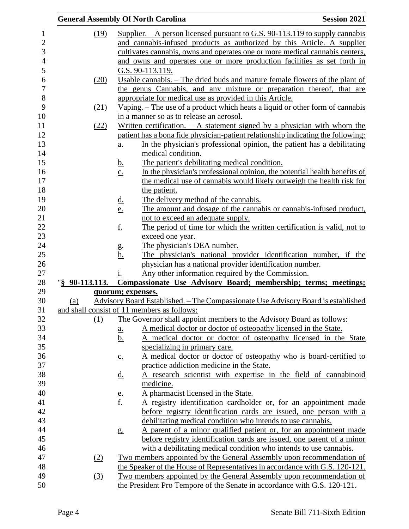|                | <b>General Assembly Of North Carolina</b>                                                              | <b>Session 2021</b> |
|----------------|--------------------------------------------------------------------------------------------------------|---------------------|
| (19)           | Supplier. $- A$ person licensed pursuant to G.S. 90-113.119 to supply cannabis                         |                     |
|                | and cannabis-infused products as authorized by this Article. A supplier                                |                     |
|                | cultivates cannabis, owns and operates one or more medical cannabis centers,                           |                     |
|                | and owns and operates one or more production facilities as set forth in                                |                     |
|                | G.S. 90-113.119.                                                                                       |                     |
| (20)           | Usable cannabis. – The dried buds and mature female flowers of the plant of                            |                     |
|                | the genus Cannabis, and any mixture or preparation thereof, that are                                   |                     |
|                | appropriate for medical use as provided in this Article.                                               |                     |
| (21)           | Vaping. – The use of a product which heats a liquid or other form of cannabis                          |                     |
|                | in a manner so as to release an aerosol.                                                               |                     |
| (22)           | Written certification. $-$ A statement signed by a physician with whom the                             |                     |
|                | patient has a bona fide physician-patient relationship indicating the following:                       |                     |
|                |                                                                                                        |                     |
|                | In the physician's professional opinion, the patient has a debilitating<br>a.<br>medical condition.    |                     |
|                | The patient's debilitating medical condition.                                                          |                     |
|                | <u>b.</u><br>In the physician's professional opinion, the potential health benefits of                 |                     |
|                | $\underline{c}$ .                                                                                      |                     |
|                | the medical use of cannabis would likely outweigh the health risk for                                  |                     |
|                | the patient.<br>The delivery method of the cannabis.                                                   |                     |
|                | <u>d.</u>                                                                                              |                     |
|                | The amount and dosage of the cannabis or cannabis-infused product,<br><u>e.</u>                        |                     |
|                | not to exceed an adequate supply.                                                                      |                     |
|                | The period of time for which the written certification is valid, not to<br><u>f.</u>                   |                     |
|                | exceed one year.                                                                                       |                     |
|                | The physician's DEA number.<br>g.                                                                      |                     |
|                | The physician's national provider identification number, if the<br><u>h.</u>                           |                     |
|                | physician has a national provider identification number.                                               |                     |
|                | Any other information required by the Commission.<br>1.                                                |                     |
| "§ 90-113.113. | Compassionate Use Advisory Board; membership; terms; meetings;                                         |                     |
|                | quorum; expenses.<br>Advisory Board Established. – The Compassionate Use Advisory Board is established |                     |
| (a)            | and shall consist of 11 members as follows:                                                            |                     |
| (1)            | The Governor shall appoint members to the Advisory Board as follows:                                   |                     |
|                | A medical doctor or doctor of osteopathy licensed in the State.                                        |                     |
|                | <u>a.</u><br>A medical doctor or doctor of osteopathy licensed in the State                            |                     |
|                | <u>b.</u>                                                                                              |                     |
|                | specializing in primary care.                                                                          |                     |
|                | A medical doctor or doctor of osteopathy who is board-certified to<br>$\underline{c}$ .                |                     |
|                | practice addiction medicine in the State.                                                              |                     |
|                | A research scientist with expertise in the field of cannabinoid<br><u>d.</u>                           |                     |
|                | medicine.                                                                                              |                     |
|                | A pharmacist licensed in the State.<br>$\frac{e}{f}$                                                   |                     |
|                | A registry identification cardholder or, for an appointment made                                       |                     |
|                | before registry identification cards are issued, one person with a                                     |                     |
|                | debilitating medical condition who intends to use cannabis.                                            |                     |
|                | A parent of a minor qualified patient or, for an appointment made<br>g <sub>1</sub>                    |                     |
|                | before registry identification cards are issued, one parent of a minor                                 |                     |
|                | with a debilitating medical condition who intends to use cannabis.                                     |                     |
| (2)            | Two members appointed by the General Assembly upon recommendation of                                   |                     |
|                | the Speaker of the House of Representatives in accordance with G.S. 120-121.                           |                     |
| (3)            | Two members appointed by the General Assembly upon recommendation of                                   |                     |
|                | the President Pro Tempore of the Senate in accordance with G.S. 120-121.                               |                     |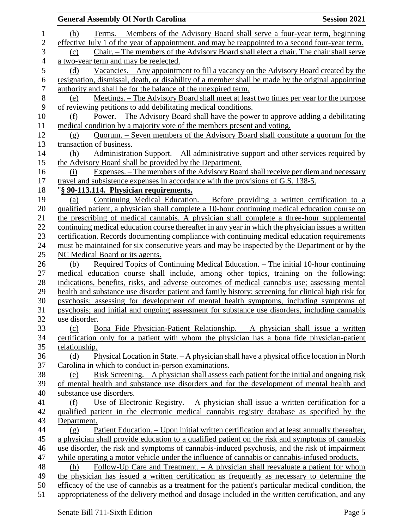|                | <b>General Assembly Of North Carolina</b><br><b>Session 2021</b>                                    |
|----------------|-----------------------------------------------------------------------------------------------------|
| $\mathbf 1$    | Terms. – Members of the Advisory Board shall serve a four-year term, beginning<br>(b)               |
| $\mathbf{2}$   | effective July 1 of the year of appointment, and may be reappointed to a second four-year term.     |
| 3              | <u>Chair. – The members of the Advisory Board shall elect a chair. The chair shall serve</u><br>(c) |
| $\overline{4}$ | a two-year term and may be reelected.                                                               |
| 5              | <u>Vacancies. – Any appointment to fill a vacancy on the Advisory Board created by the</u><br>(d)   |
| 6              | resignation, dismissal, death, or disability of a member shall be made by the original appointing   |
| 7              | authority and shall be for the balance of the unexpired term.                                       |
| $8\,$          | Meetings. – The Advisory Board shall meet at least two times per year for the purpose<br>(e)        |
| 9              | of reviewing petitions to add debilitating medical conditions.                                      |
| 10             | <u>Power. – The Advisory Board shall have the power to approve adding a debilitating</u><br>(f)     |
| 11             | medical condition by a majority vote of the members present and voting.                             |
| 12             | <u> Quorum. – Seven members of the Advisory Board shall constitute a quorum for the</u><br>(g)      |
| 13             | transaction of business.                                                                            |
| 14             | Administration Support. – All administrative support and other services required by<br>(h)          |
| 15             | the Advisory Board shall be provided by the Department.                                             |
| 16             | Expenses. – The members of the Advisory Board shall receive per diem and necessary<br>(i)           |
| 17             | travel and subsistence expenses in accordance with the provisions of G.S. 138-5.                    |
| 18             | "§ 90-113.114. Physician requirements.                                                              |
| 19             | <u>Continuing Medical Education. – Before providing a written certification to a</u><br>(a)         |
| 20             | qualified patient, a physician shall complete a 10-hour continuing medical education course on      |
| 21             | the prescribing of medical cannabis. A physician shall complete a three-hour supplemental           |
| 22             | continuing medical education course thereafter in any year in which the physician issues a written  |
| 23             | certification. Records documenting compliance with continuing medical education requirements        |
| 24             | must be maintained for six consecutive years and may be inspected by the Department or by the       |
| 25             | NC Medical Board or its agents.                                                                     |
| 26             | Required Topics of Continuing Medical Education. - The initial 10-hour continuing<br>(b)            |
| 27             | medical education course shall include, among other topics, training on the following:              |
| 28             | indications, benefits, risks, and adverse outcomes of medical cannabis use; assessing mental        |
| 29             | health and substance use disorder patient and family history; screening for clinical high risk for  |
| 30             | psychosis; assessing for development of mental health symptoms, including symptoms of               |
| 31             | psychosis; and initial and ongoing assessment for substance use disorders, including cannabis       |
| 32             | use disorder.                                                                                       |
| 33             | Bona Fide Physician-Patient Relationship. - A physician shall issue a written<br>(c)                |
| 34             | certification only for a patient with whom the physician has a bona fide physician-patient          |
| 35             | relationship.                                                                                       |
| 36             | Physical Location in State. - A physician shall have a physical office location in North<br>(d)     |
| 37             | Carolina in which to conduct in-person examinations.                                                |
| 38             | Risk Screening. - A physician shall assess each patient for the initial and ongoing risk<br>(e)     |
| 39             | of mental health and substance use disorders and for the development of mental health and           |
| 40             | substance use disorders.                                                                            |
| 41             | Use of Electronic Registry. $- A$ physician shall issue a written certification for a<br>(f)        |
| 42             | qualified patient in the electronic medical cannabis registry database as specified by the          |
| 43             | Department.                                                                                         |
| 44             | Patient Education. – Upon initial written certification and at least annually thereafter,<br>(g)    |
| 45             | a physician shall provide education to a qualified patient on the risk and symptoms of cannabis     |
| 46             | use disorder, the risk and symptoms of cannabis-induced psychosis, and the risk of impairment       |
| 47             | while operating a motor vehicle under the influence of cannabis or cannabis-infused products.       |
| 48             | Follow-Up Care and Treatment. $-$ A physician shall reevaluate a patient for whom<br>(h)            |
| 49             | the physician has issued a written certification as frequently as necessary to determine the        |
| 50             | efficacy of the use of cannabis as a treatment for the patient's particular medical condition, the  |
| 51             | appropriateness of the delivery method and dosage included in the written certification, and any    |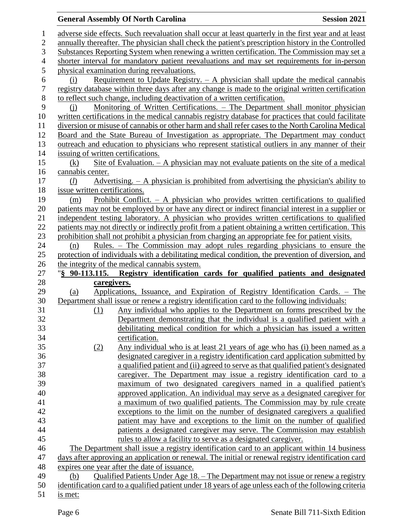### **General Assembly Of North Carolina Session 2021**  adverse side effects. Such reevaluation shall occur at least quarterly in the first year and at least annually thereafter. The physician shall check the patient's prescription history in the Controlled Substances Reporting System when renewing a written certification. The Commission may set a shorter interval for mandatory patient reevaluations and may set requirements for in-person physical examination during reevaluations. (i) Requirement to Update Registry. – A physician shall update the medical cannabis registry database within three days after any change is made to the original written certification to reflect such change, including deactivation of a written certification. (j) Monitoring of Written Certifications. – The Department shall monitor physician written certifications in the medical cannabis registry database for practices that could facilitate diversion or misuse of cannabis or other harm and shall refer cases to the North Carolina Medical Board and the State Bureau of Investigation as appropriate. The Department may conduct outreach and education to physicians who represent statistical outliers in any manner of their issuing of written certifications. (k) Site of Evaluation. – A physician may not evaluate patients on the site of a medical cannabis center. (*l*) Advertising. – A physician is prohibited from advertising the physician's ability to issue written certifications. (m) Prohibit Conflict. – A physician who provides written certifications to qualified patients may not be employed by or have any direct or indirect financial interest in a supplier or independent testing laboratory. A physician who provides written certifications to qualified patients may not directly or indirectly profit from a patient obtaining a written certification. This prohibition shall not prohibit a physician from charging an appropriate fee for patient visits. (n) Rules. – The Commission may adopt rules regarding physicians to ensure the protection of individuals with a debilitating medical condition, the prevention of diversion, and the integrity of the medical cannabis system. "**§ 90-113.115. Registry identification cards for qualified patients and designated caregivers.** (a) Applications, Issuance, and Expiration of Registry Identification Cards. – The Department shall issue or renew a registry identification card to the following individuals: (1) Any individual who applies to the Department on forms prescribed by the Department demonstrating that the individual is a qualified patient with a debilitating medical condition for which a physician has issued a written certification. (2) Any individual who is at least 21 years of age who has (i) been named as a designated caregiver in a registry identification card application submitted by a qualified patient and (ii) agreed to serve as that qualified patient's designated caregiver. The Department may issue a registry identification card to a maximum of two designated caregivers named in a qualified patient's approved application. An individual may serve as a designated caregiver for a maximum of two qualified patients. The Commission may by rule create exceptions to the limit on the number of designated caregivers a qualified patient may have and exceptions to the limit on the number of qualified patients a designated caregiver may serve. The Commission may establish rules to allow a facility to serve as a designated caregiver. The Department shall issue a registry identification card to an applicant within 14 business days after approving an application or renewal. The initial or renewal registry identification card expires one year after the date of issuance. (b) Qualified Patients Under Age 18. – The Department may not issue or renew a registry identification card to a qualified patient under 18 years of age unless each of the following criteria is met: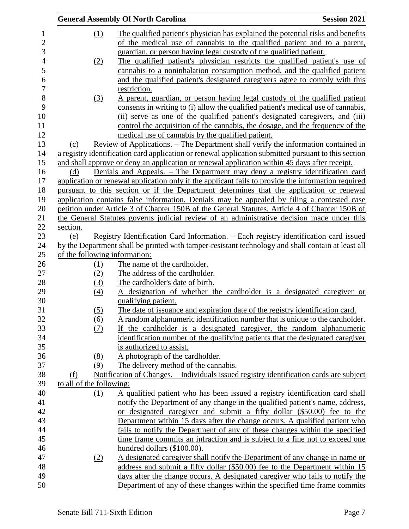|                |                               | <b>General Assembly Of North Carolina</b>                                                            | <b>Session 2021</b> |
|----------------|-------------------------------|------------------------------------------------------------------------------------------------------|---------------------|
| 1              | (1)                           | The qualified patient's physician has explained the potential risks and benefits                     |                     |
| $\overline{2}$ |                               | of the medical use of cannabis to the qualified patient and to a parent,                             |                     |
| 3              |                               | guardian, or person having legal custody of the qualified patient.                                   |                     |
| $\overline{4}$ | (2)                           | The qualified patient's physician restricts the qualified patient's use of                           |                     |
| 5              |                               | cannabis to a noninhalation consumption method, and the qualified patient                            |                     |
| 6              |                               | and the qualified patient's designated caregivers agree to comply with this                          |                     |
| $\overline{7}$ |                               | restriction.                                                                                         |                     |
| 8              | (3)                           | A parent, guardian, or person having legal custody of the qualified patient                          |                     |
| 9              |                               | consents in writing to (i) allow the qualified patient's medical use of cannabis,                    |                     |
| 10             |                               | (ii) serve as one of the qualified patient's designated caregivers, and (iii)                        |                     |
| 11             |                               | control the acquisition of the cannabis, the dosage, and the frequency of the                        |                     |
| 12             |                               | medical use of cannabis by the qualified patient.                                                    |                     |
| 13             | (c)                           | <u> Review of Applications. – The Department shall verify the information contained in</u>           |                     |
| 14             |                               | a registry identification card application or renewal application submitted pursuant to this section |                     |
| 15             |                               | and shall approve or deny an application or renewal application within 45 days after receipt.        |                     |
| 16             | (d)                           | Denials and Appeals. - The Department may deny a registry identification card                        |                     |
| 17             |                               | application or renewal application only if the applicant fails to provide the information required   |                     |
| 18             |                               | pursuant to this section or if the Department determines that the application or renewal             |                     |
| 19             |                               | application contains false information. Denials may be appealed by filing a contested case           |                     |
| 20             |                               | petition under Article 3 of Chapter 150B of the General Statutes. Article 4 of Chapter 150B of       |                     |
| 21             |                               | the General Statutes governs judicial review of an administrative decision made under this           |                     |
| 22             | section.                      |                                                                                                      |                     |
| 23             | (e)                           | <u> Registry Identification Card Information. – Each registry identification card issued</u>         |                     |
| 24             |                               | by the Department shall be printed with tamper-resistant technology and shall contain at least all   |                     |
| 25             | of the following information: |                                                                                                      |                     |
| 26             | (1)                           | The name of the cardholder.                                                                          |                     |
| 27             | (2)                           | The address of the cardholder.                                                                       |                     |
| 28             | (3)                           | The cardholder's date of birth.                                                                      |                     |
| 29             | (4)                           | A designation of whether the cardholder is a designated caregiver or                                 |                     |
| 30             |                               | qualifying patient.                                                                                  |                     |
| 31             | (5)                           | The date of issuance and expiration date of the registry identification card.                        |                     |
| 32             | (6)                           | A random alphanumeric identification number that is unique to the cardholder.                        |                     |
| 33             | (7)                           | If the cardholder is a designated caregiver, the random alphanumeric                                 |                     |
| 34             |                               | identification number of the qualifying patients that the designated caregiver                       |                     |
| 35             |                               | is authorized to assist.                                                                             |                     |
| 36             | (8)                           | A photograph of the cardholder.                                                                      |                     |
| 37             | (9)                           | The delivery method of the cannabis.                                                                 |                     |
| 38             | (f)                           | Notification of Changes. – Individuals issued registry identification cards are subject              |                     |
| 39             | to all of the following:      |                                                                                                      |                     |
| 40             | (1)                           | A qualified patient who has been issued a registry identification card shall                         |                     |
| 41             |                               | notify the Department of any change in the qualified patient's name, address,                        |                     |
| 42             |                               | designated caregiver and submit a fifty dollar (\$50.00) fee to the<br><sub>or</sub>                 |                     |
| 43             |                               | Department within 15 days after the change occurs. A qualified patient who                           |                     |
| 44             |                               | fails to notify the Department of any of these changes within the specified                          |                     |
| 45             |                               | time frame commits an infraction and is subject to a fine not to exceed one                          |                     |
| 46             |                               | hundred dollars (\$100.00).                                                                          |                     |
| 47             | (2)                           | A designated caregiver shall notify the Department of any change in name or                          |                     |
| 48             |                               | address and submit a fifty dollar (\$50.00) fee to the Department within 15                          |                     |
| 49             |                               | days after the change occurs. A designated caregiver who fails to notify the                         |                     |
| 50             |                               | Department of any of these changes within the specified time frame commits                           |                     |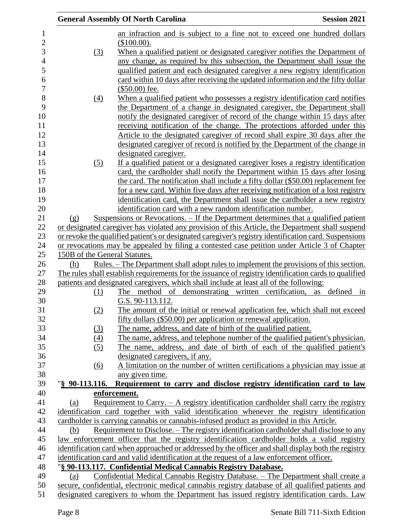|                               | <b>General Assembly Of North Carolina</b>                                                                                                           | <b>Session 2021</b> |
|-------------------------------|-----------------------------------------------------------------------------------------------------------------------------------------------------|---------------------|
|                               | an infraction and is subject to a fine not to exceed one hundred dollars                                                                            |                     |
|                               | (\$100.00).                                                                                                                                         |                     |
| (3)                           | When a qualified patient or designated caregiver notifies the Department of                                                                         |                     |
|                               | any change, as required by this subsection, the Department shall issue the                                                                          |                     |
|                               | qualified patient and each designated caregiver a new registry identification                                                                       |                     |
|                               | card within 10 days after receiving the updated information and the fifty dollar                                                                    |                     |
|                               | $($50.00)$ fee.                                                                                                                                     |                     |
| $\frac{(4)}{4}$               | When a qualified patient who possesses a registry identification card notifies                                                                      |                     |
|                               | the Department of a change in designated caregiver, the Department shall                                                                            |                     |
|                               | notify the designated caregiver of record of the change within 15 days after                                                                        |                     |
|                               | receiving notification of the change. The protections afforded under this                                                                           |                     |
|                               | Article to the designated caregiver of record shall expire 30 days after the                                                                        |                     |
|                               | designated caregiver of record is notified by the Department of the change in                                                                       |                     |
|                               | designated caregiver.                                                                                                                               |                     |
| (5)                           | If a qualified patient or a designated caregiver loses a registry identification                                                                    |                     |
|                               | card, the cardholder shall notify the Department within 15 days after losing                                                                        |                     |
|                               | the card. The notification shall include a fifty dollar (\$50.00) replacement fee                                                                   |                     |
|                               | for a new card. Within five days after receiving notification of a lost registry                                                                    |                     |
|                               | identification card, the Department shall issue the cardholder a new registry                                                                       |                     |
|                               | identification card with a new random identification number.                                                                                        |                     |
| (g)                           | Suspensions or Revocations. – If the Department determines that a qualified patient                                                                 |                     |
|                               | or designated caregiver has violated any provision of this Article, the Department shall suspend                                                    |                     |
|                               | or revoke the qualified patient's or designated caregiver's registry identification card. Suspensions                                               |                     |
| 150B of the General Statutes. | or revocations may be appealed by filing a contested case petition under Article 3 of Chapter                                                       |                     |
| (h)                           | <u>Rules. – The Department shall adopt rules to implement the provisions of this section.</u>                                                       |                     |
|                               | The rules shall establish requirements for the issuance of registry identification cards to qualified                                               |                     |
|                               | patients and designated caregivers, which shall include at least all of the following:                                                              |                     |
| (1)                           | The method of demonstrating written certification, as defined                                                                                       | in                  |
|                               | G.S. 90-113.112.                                                                                                                                    |                     |
| (2)                           | The amount of the initial or renewal application fee, which shall not exceed                                                                        |                     |
|                               | fifty dollars (\$50.00) per application or renewal application.                                                                                     |                     |
| (3)                           | The name, address, and date of birth of the qualified patient.                                                                                      |                     |
| (4)                           | The name, address, and telephone number of the qualified patient's physician.                                                                       |                     |
| (5)                           | The name, address, and date of birth of each of the qualified patient's                                                                             |                     |
|                               | designated caregivers, if any.                                                                                                                      |                     |
| (6)                           | A limitation on the number of written certifications a physician may issue at                                                                       |                     |
|                               | any given time.                                                                                                                                     |                     |
| "§ 90-113.116.                | Requirement to carry and disclose registry identification card to law                                                                               |                     |
|                               | enforcement.                                                                                                                                        |                     |
| (a)                           | Requirement to Carry. $- A$ registry identification cardholder shall carry the registry                                                             |                     |
|                               | identification card together with valid identification whenever the registry identification                                                         |                     |
|                               | cardholder is carrying cannabis or cannabis-infused product as provided in this Article.                                                            |                     |
| (b)                           | <u>Requirement to Disclose. – The registry identification cardholder shall disclose to any</u>                                                      |                     |
|                               | law enforcement officer that the registry identification cardholder holds a valid registry                                                          |                     |
|                               | identification card when approached or addressed by the officer and shall display both the registry                                                 |                     |
|                               | identification card and valid identification at the request of a law enforcement officer.                                                           |                     |
| (a)                           | "§ 90-113.117. Confidential Medical Cannabis Registry Database.<br>Confidential Medical Cannabis Registry Database. - The Department shall create a |                     |
|                               | secure, confidential, electronic medical cannabis registry database of all qualified patients and                                                   |                     |
|                               | designated caregivers to whom the Department has issued registry identification cards. Law                                                          |                     |
|                               |                                                                                                                                                     |                     |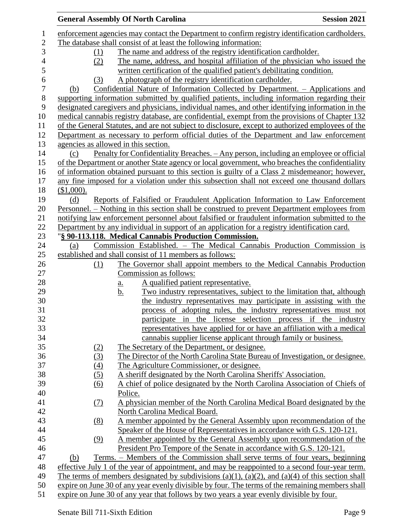|                  | <b>General Assembly Of North Carolina</b>                                                                                              | <b>Session 2021</b> |
|------------------|----------------------------------------------------------------------------------------------------------------------------------------|---------------------|
|                  | enforcement agencies may contact the Department to confirm registry identification cardholders.                                        |                     |
|                  | The database shall consist of at least the following information:                                                                      |                     |
| (1)              | The name and address of the registry identification cardholder.                                                                        |                     |
| (2)              | The name, address, and hospital affiliation of the physician who issued the                                                            |                     |
|                  | written certification of the qualified patient's debilitating condition.                                                               |                     |
| (3)              | A photograph of the registry identification cardholder.                                                                                |                     |
| (b)              | Confidential Nature of Information Collected by Department. - Applications and                                                         |                     |
|                  | supporting information submitted by qualified patients, including information regarding their                                          |                     |
|                  | designated caregivers and physicians, individual names, and other identifying information in the                                       |                     |
|                  | medical cannabis registry database, are confidential, exempt from the provisions of Chapter 132                                        |                     |
|                  | of the General Statutes, and are not subject to disclosure, except to authorized employees of the                                      |                     |
|                  | Department as necessary to perform official duties of the Department and law enforcement                                               |                     |
|                  | agencies as allowed in this section.                                                                                                   |                     |
|                  | <u>Penalty for Confidentiality Breaches. – Any person, including an employee or official</u>                                           |                     |
| (c)              |                                                                                                                                        |                     |
|                  | of the Department or another State agency or local government, who breaches the confidentiality                                        |                     |
|                  | of information obtained pursuant to this section is guilty of a Class 2 misdemeanor; however,                                          |                     |
|                  | any fine imposed for a violation under this subsection shall not exceed one thousand dollars                                           |                     |
| $$1,000$ ).      |                                                                                                                                        |                     |
| (d)              | Reports of Falsified or Fraudulent Application Information to Law Enforcement                                                          |                     |
|                  | <u>Personnel. – Nothing in this section shall be construed to prevent Department employees from</u>                                    |                     |
|                  | notifying law enforcement personnel about falsified or fraudulent information submitted to the                                         |                     |
|                  | Department by any individual in support of an application for a registry identification card.                                          |                     |
|                  | "§ 90-113.118. Medical Cannabis Production Commission.                                                                                 |                     |
| (a)              | Commission Established. - The Medical Cannabis Production Commission is                                                                |                     |
|                  | established and shall consist of 11 members as follows:                                                                                |                     |
| (1)              | The Governor shall appoint members to the Medical Cannabis Production<br>Commission as follows:                                        |                     |
|                  | A qualified patient representative.                                                                                                    |                     |
|                  | $\underline{\mathbf{a}}$ .                                                                                                             |                     |
|                  | Two industry representatives, subject to the limitation that, although<br><u>b.</u>                                                    |                     |
|                  | the industry representatives may participate in assisting with the<br>process of adopting rules, the industry representatives must not |                     |
|                  | participate in the license selection process if the industry                                                                           |                     |
|                  | representatives have applied for or have an affiliation with a medical                                                                 |                     |
|                  | cannabis supplier license applicant through family or business.                                                                        |                     |
|                  | The Secretary of the Department, or designee.                                                                                          |                     |
| (2)              | The Director of the North Carolina State Bureau of Investigation, or designee.                                                         |                     |
| (3)              | The Agriculture Commissioner, or designee.                                                                                             |                     |
| (4)<br>(5)       | A sheriff designated by the North Carolina Sheriffs' Association.                                                                      |                     |
|                  | A chief of police designated by the North Carolina Association of Chiefs of                                                            |                     |
| $\overline{(6)}$ | Police.                                                                                                                                |                     |
|                  | A physician member of the North Carolina Medical Board designated by the                                                               |                     |
| (7)              |                                                                                                                                        |                     |
|                  | North Carolina Medical Board.                                                                                                          |                     |
| (8)              | A member appointed by the General Assembly upon recommendation of the                                                                  |                     |
|                  | Speaker of the House of Representatives in accordance with G.S. 120-121.                                                               |                     |
| (9)              | A member appointed by the General Assembly upon recommendation of the                                                                  |                     |
|                  | President Pro Tempore of the Senate in accordance with G.S. 120-121.                                                                   |                     |
| (b)              | Terms. - Members of the Commission shall serve terms of four years, beginning                                                          |                     |
|                  | effective July 1 of the year of appointment, and may be reappointed to a second four-year term.                                        |                     |
|                  | The terms of members designated by subdivisions (a)(1), (a)(2), and (a)(4) of this section shall                                       |                     |
|                  | expire on June 30 of any year evenly divisible by four. The terms of the remaining members shall                                       |                     |
|                  | expire on June 30 of any year that follows by two years a year evenly divisible by four.                                               |                     |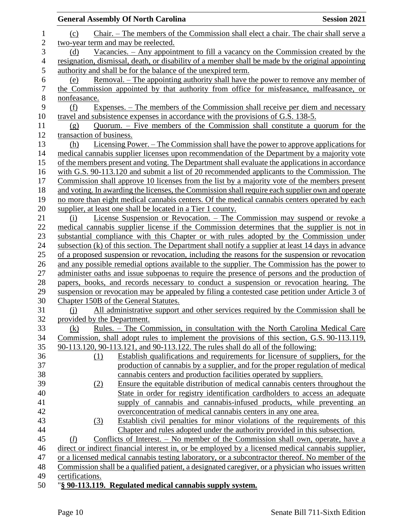|                | <b>General Assembly Of North Carolina</b>                                                          | <b>Session 2021</b> |
|----------------|----------------------------------------------------------------------------------------------------|---------------------|
| 1              | Chair. – The members of the Commission shall elect a chair. The chair shall serve a<br>(c)         |                     |
| $\overline{c}$ | two-year term and may be reelected.                                                                |                     |
| 3              | Vacancies. $-$ Any appointment to fill a vacancy on the Commission created by the<br>(d)           |                     |
| 4              | resignation, dismissal, death, or disability of a member shall be made by the original appointing  |                     |
| 5              | authority and shall be for the balance of the unexpired term.                                      |                     |
| 6              | <u>Removal. – The appointing authority shall have the power to remove any member of</u><br>(e)     |                     |
| 7              | the Commission appointed by that authority from office for misfeasance, malfeasance, or            |                     |
| 8              | nonfeasance.                                                                                       |                     |
| 9              | Expenses. – The members of the Commission shall receive per diem and necessary<br>(f)              |                     |
| 10             | travel and subsistence expenses in accordance with the provisions of G.S. 138-5.                   |                     |
| 11             | Quorum. – Five members of the Commission shall constitute a quorum for the<br>(g)                  |                     |
| 12             | transaction of business.                                                                           |                     |
| 13             | <u>Licensing Power. – The Commission shall have the power to approve applications for</u><br>(h)   |                     |
| 14             | medical cannabis supplier licenses upon recommendation of the Department by a majority vote        |                     |
| 15             | of the members present and voting. The Department shall evaluate the applications in accordance    |                     |
| 16             | with G.S. 90-113.120 and submit a list of 20 recommended applicants to the Commission. The         |                     |
| 17             | Commission shall approve 10 licenses from the list by a majority vote of the members present       |                     |
| 18             | and voting. In awarding the licenses, the Commission shall require each supplier own and operate   |                     |
| 19             | no more than eight medical cannabis centers. Of the medical cannabis centers operated by each      |                     |
| 20             | supplier, at least one shall be located in a Tier 1 county.                                        |                     |
| 21             | License Suspension or Revocation. – The Commission may suspend or revoke a<br>(i)                  |                     |
| 22             | medical cannabis supplier license if the Commission determines that the supplier is not in         |                     |
| 23             | substantial compliance with this Chapter or with rules adopted by the Commission under             |                     |
| 24             | subsection (k) of this section. The Department shall notify a supplier at least 14 days in advance |                     |
| 25             | of a proposed suspension or revocation, including the reasons for the suspension or revocation     |                     |
| 26             | and any possible remedial options available to the supplier. The Commission has the power to       |                     |
| 27             | administer oaths and issue subpoenas to require the presence of persons and the production of      |                     |
| 28             | papers, books, and records necessary to conduct a suspension or revocation hearing. The            |                     |
| 29             | suspension or revocation may be appealed by filing a contested case petition under Article 3 of    |                     |
| 30             | Chapter 150B of the General Statutes.                                                              |                     |
| 31             | All administrative support and other services required by the Commission shall be<br><u>(i)</u>    |                     |
| 32             | provided by the Department.                                                                        |                     |
| 33             | (k)<br>Rules. – The Commission, in consultation with the North Carolina Medical Care               |                     |
| 34             | Commission, shall adopt rules to implement the provisions of this section, G.S. 90-113.119,        |                     |
| 35             | 90-113.120, 90-113.121, and 90-113.122. The rules shall do all of the following:                   |                     |
| 36             | Establish qualifications and requirements for licensure of suppliers, for the<br>(1)               |                     |
| 37             | production of cannabis by a supplier, and for the proper regulation of medical                     |                     |
| 38             | cannabis centers and production facilities operated by suppliers.                                  |                     |
| 39             | Ensure the equitable distribution of medical cannabis centers throughout the<br>(2)                |                     |
| 40             | State in order for registry identification cardholders to access an adequate                       |                     |
| 41             | supply of cannabis and cannabis-infused products, while preventing an                              |                     |
| 42             | overconcentration of medical cannabis centers in any one area.                                     |                     |
| 43             | Establish civil penalties for minor violations of the requirements of this<br>(3)                  |                     |
| 44             | Chapter and rules adopted under the authority provided in this subsection.                         |                     |
| 45             | Conflicts of Interest. – No member of the Commission shall own, operate, have a<br>(l)             |                     |
| 46             | direct or indirect financial interest in, or be employed by a licensed medical cannabis supplier,  |                     |
| 47             | or a licensed medical cannabis testing laboratory, or a subcontractor thereof. No member of the    |                     |
| 48             | Commission shall be a qualified patient, a designated caregiver, or a physician who issues written |                     |
| 49             | certifications.                                                                                    |                     |
| 50             | "§ 90-113.119. Regulated medical cannabis supply system.                                           |                     |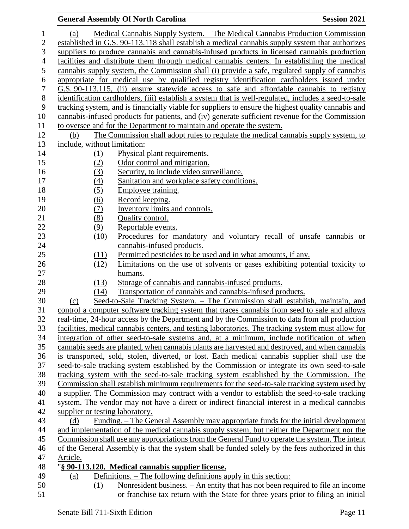### (a) Medical Cannabis Supply System. – The Medical Cannabis Production Commission established in G.S. 90-113.118 shall establish a medical cannabis supply system that authorizes suppliers to produce cannabis and cannabis-infused products in licensed cannabis production facilities and distribute them through medical cannabis centers. In establishing the medical cannabis supply system, the Commission shall (i) provide a safe, regulated supply of cannabis appropriate for medical use by qualified registry identification cardholders issued under G.S. 90-113.115, (ii) ensure statewide access to safe and affordable cannabis to registry identification cardholders, (iii) establish a system that is well-regulated, includes a seed-to-sale tracking system, and is financially viable for suppliers to ensure the highest quality cannabis and cannabis-infused products for patients, and (iv) generate sufficient revenue for the Commission to oversee and for the Department to maintain and operate the system. (b) The Commission shall adopt rules to regulate the medical cannabis supply system, to include, without limitation: 14 (1) Physical plant requirements. (2) Odor control and mitigation. 16 (3) Security, to include video surveillance. (4) Sanitation and workplace safety conditions. 18 (5) Employee training. (6) Record keeping. 20 (7) Inventory limits and controls. 21 (8) Quality control. 22 (9) Reportable events. (10) Procedures for mandatory and voluntary recall of unsafe cannabis or cannabis-infused products. (11) Permitted pesticides to be used and in what amounts, if any. (12) Limitations on the use of solvents or gases exhibiting potential toxicity to humans. (13) Storage of cannabis and cannabis-infused products. (14) Transportation of cannabis and cannabis-infused products. (c) Seed-to-Sale Tracking System. – The Commission shall establish, maintain, and control a computer software tracking system that traces cannabis from seed to sale and allows real-time, 24-hour access by the Department and by the Commission to data from all production facilities, medical cannabis centers, and testing laboratories. The tracking system must allow for integration of other seed-to-sale systems and, at a minimum, include notification of when cannabis seeds are planted, when cannabis plants are harvested and destroyed, and when cannabis is transported, sold, stolen, diverted, or lost. Each medical cannabis supplier shall use the seed-to-sale tracking system established by the Commission or integrate its own seed-to-sale tracking system with the seed-to-sale tracking system established by the Commission. The Commission shall establish minimum requirements for the seed-to-sale tracking system used by a supplier. The Commission may contract with a vendor to establish the seed-to-sale tracking system. The vendor may not have a direct or indirect financial interest in a medical cannabis supplier or testing laboratory. (d) Funding. – The General Assembly may appropriate funds for the initial development and implementation of the medical cannabis supply system, but neither the Department nor the Commission shall use any appropriations from the General Fund to operate the system. The intent of the General Assembly is that the system shall be funded solely by the fees authorized in this Article. "**§ 90-113.120. Medical cannabis supplier license.** (a) Definitions. – The following definitions apply in this section: (1) Nonresident business. – An entity that has not been required to file an income

or franchise tax return with the State for three years prior to filing an initial

**General Assembly Of North Carolina Session 2021**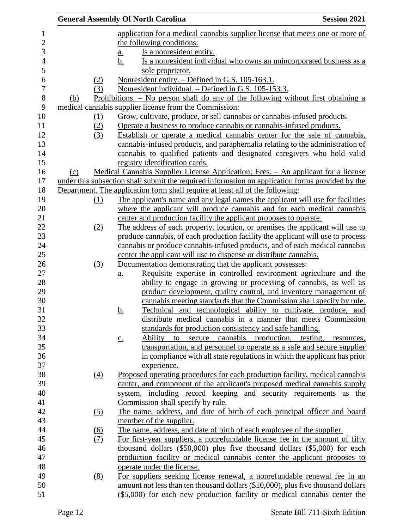|                |                   | <b>General Assembly Of North Carolina</b>                                                        | <b>Session 2021</b> |
|----------------|-------------------|--------------------------------------------------------------------------------------------------|---------------------|
| $\mathbf 1$    |                   | application for a medical cannabis supplier license that meets one or more of                    |                     |
| $\overline{c}$ |                   | the following conditions:                                                                        |                     |
| 3              |                   | Is a nonresident entity.<br>$\underline{\mathbf{a}}$ .                                           |                     |
| $\overline{4}$ |                   | Is a nonresident individual who owns an unincorporated business as a<br><u>b.</u>                |                     |
| 5              |                   | sole proprietor.                                                                                 |                     |
| 6              | (2)               | Nonresident entity. – Defined in G.S. 105-163.1.                                                 |                     |
| 7              | (3)               | Nonresident individual. – Defined in G.S. 105-153.3.                                             |                     |
| $8\,$          | (b)               | Prohibitions. $-$ No person shall do any of the following without first obtaining a              |                     |
| 9              |                   | medical cannabis supplier license from the Commission:                                           |                     |
| 10             | (1)               | Grow, cultivate, produce, or sell cannabis or cannabis-infused products.                         |                     |
| 11             | (2)               | Operate a business to produce cannabis or cannabis-infused products.                             |                     |
| 12             | (3)               | Establish or operate a medical cannabis center for the sale of cannabis,                         |                     |
| 13             |                   | cannabis-infused products, and paraphernalia relating to the administration of                   |                     |
| 14             |                   | cannabis to qualified patients and designated caregivers who hold valid                          |                     |
| 15             |                   | registry identification cards.                                                                   |                     |
| 16             | (c)               | Medical Cannabis Supplier License Application; Fees. - An applicant for a license                |                     |
| 17             |                   | under this subsection shall submit the required information on application forms provided by the |                     |
| 18             |                   | Department. The application form shall require at least all of the following:                    |                     |
| 19             | (1)               | The applicant's name and any legal names the applicant will use for facilities                   |                     |
| 20             |                   | where the applicant will produce cannabis and for each medical cannabis                          |                     |
| 21             |                   | center and production facility the applicant proposes to operate.                                |                     |
| 22             | (2)               | The address of each property, location, or premises the applicant will use to                    |                     |
| 23             |                   | produce cannabis, of each production facility the applicant will use to process                  |                     |
| 24             |                   | cannabis or produce cannabis-infused products, and of each medical cannabis                      |                     |
| 25             |                   | center the applicant will use to dispense or distribute cannabis.                                |                     |
| 26             | (3)               | Documentation demonstrating that the applicant possesses:                                        |                     |
| $27\,$         |                   | Requisite expertise in controlled environment agriculture and the<br>$\underline{a}$ .           |                     |
| 28             |                   | ability to engage in growing or processing of cannabis, as well as                               |                     |
| 29             |                   | product development, quality control, and inventory management of                                |                     |
| 30             |                   | cannabis meeting standards that the Commission shall specify by rule.                            |                     |
| 31             |                   | Technical and technological ability to cultivate, produce, and<br>b.                             |                     |
| 32             |                   | distribute medical cannabis in a manner that meets Commission                                    |                     |
| 33             |                   | standards for production consistency and safe handling.                                          |                     |
| 34             |                   | Ability to secure cannabis production, testing,<br>$\underline{c}$ .                             | resources,          |
| 35             |                   | transportation, and personnel to operate as a safe and secure supplier                           |                     |
| 36             |                   | in compliance with all state regulations in which the applicant has prior                        |                     |
| 37             |                   | experience.                                                                                      |                     |
| 38             | $\underline{(4)}$ | Proposed operating procedures for each production facility, medical cannabis                     |                     |
| 39             |                   | center, and component of the applicant's proposed medical cannabis supply                        |                     |
| 40             |                   | system, including record keeping and security requirements as the                                |                     |
| 41             |                   | Commission shall specify by rule.                                                                |                     |
| 42             | (5)               | The name, address, and date of birth of each principal officer and board                         |                     |
| 43             |                   | member of the supplier.                                                                          |                     |
| 44             | $\underline{(6)}$ | The name, address, and date of birth of each employee of the supplier.                           |                     |
| 45             | (7)               | For first-year suppliers, a nonrefundable license fee in the amount of fifty                     |                     |
| 46             |                   | thousand dollars $(\$50,000)$ plus five thousand dollars $(\$5,000)$ for each                    |                     |
| 47             |                   | production facility or medical cannabis center the applicant proposes to                         |                     |
| 48             |                   | operate under the license.                                                                       |                     |
| 49             | (8)               | For suppliers seeking license renewal, a nonrefundable renewal fee in an                         |                     |
| 50             |                   | amount not less than ten thousand dollars (\$10,000), plus five thousand dollars                 |                     |
| 51             |                   | $(\$5,000)$ for each new production facility or medical cannabis center the                      |                     |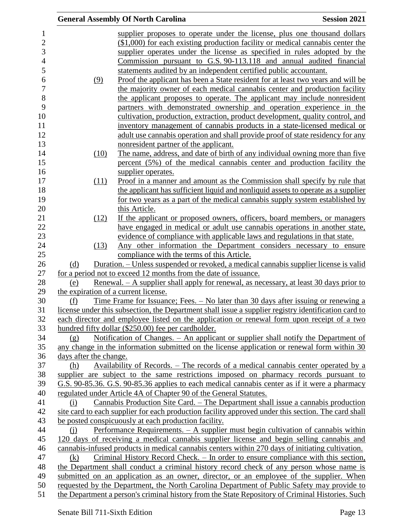|                        | <b>General Assembly Of North Carolina</b>                                                            | <b>Session 2021</b> |
|------------------------|------------------------------------------------------------------------------------------------------|---------------------|
|                        | supplier proposes to operate under the license, plus one thousand dollars                            |                     |
|                        | $($1,000)$ for each existing production facility or medical cannabis center the                      |                     |
|                        | supplier operates under the license as specified in rules adopted by the                             |                     |
|                        | Commission pursuant to G.S. 90-113.118 and annual audited financial                                  |                     |
|                        | statements audited by an independent certified public accountant.                                    |                     |
|                        | Proof the applicant has been a State resident for at least two years and will be                     |                     |
| (9)                    | the majority owner of each medical cannabis center and production facility                           |                     |
|                        | the applicant proposes to operate. The applicant may include nonresident                             |                     |
|                        | partners with demonstrated ownership and operation experience in the                                 |                     |
|                        | cultivation, production, extraction, product development, quality control, and                       |                     |
|                        | inventory management of cannabis products in a state-licensed medical or                             |                     |
|                        | adult use cannabis operation and shall provide proof of state residency for any                      |                     |
|                        | nonresident partner of the applicant.                                                                |                     |
|                        | The name, address, and date of birth of any individual owning more than five                         |                     |
| (10)                   |                                                                                                      |                     |
|                        | percent (5%) of the medical cannabis center and production facility the<br>supplier operates.        |                     |
| (11)                   | Proof in a manner and amount as the Commission shall specify by rule that                            |                     |
|                        | the applicant has sufficient liquid and nonliquid assets to operate as a supplier                    |                     |
|                        | for two years as a part of the medical cannabis supply system established by                         |                     |
|                        | this Article.                                                                                        |                     |
| (12)                   | If the applicant or proposed owners, officers, board members, or managers                            |                     |
|                        | have engaged in medical or adult use cannabis operations in another state,                           |                     |
|                        | evidence of compliance with applicable laws and regulations in that state.                           |                     |
| (13)                   | Any other information the Department considers necessary to ensure                                   |                     |
|                        | compliance with the terms of this Article.                                                           |                     |
| (d)                    | Duration. – Unless suspended or revoked, a medical cannabis supplier license is valid                |                     |
|                        | for a period not to exceed 12 months from the date of issuance.                                      |                     |
| (e)                    | <u>Renewal. – A supplier shall apply for renewal, as necessary, at least 30 days prior to</u>        |                     |
|                        | the expiration of a current license.                                                                 |                     |
| (f)                    | <u>Time Frame for Issuance; Fees. – No later than 30 days after issuing or renewing a</u>            |                     |
|                        | license under this subsection, the Department shall issue a supplier registry identification card to |                     |
|                        | each director and employee listed on the application or renewal form upon receipt of a two           |                     |
|                        | hundred fifty dollar (\$250.00) fee per cardholder.                                                  |                     |
| (g)                    | <u>Notification of Changes. – An applicant or supplier shall notify the Department of</u>            |                     |
|                        | any change in the information submitted on the license application or renewal form within 30         |                     |
| days after the change. |                                                                                                      |                     |
| (h)                    | Availability of Records. – The records of a medical cannabis center operated by a                    |                     |
|                        | supplier are subject to the same restrictions imposed on pharmacy records pursuant to                |                     |
|                        | G.S. 90-85.36. G.S. 90-85.36 applies to each medical cannabis center as if it were a pharmacy        |                     |
|                        | regulated under Article 4A of Chapter 90 of the General Statutes.                                    |                     |
| (i)                    | Cannabis Production Site Card. – The Department shall issue a cannabis production                    |                     |
|                        | site card to each supplier for each production facility approved under this section. The card shall  |                     |
|                        | be posted conspicuously at each production facility.                                                 |                     |
| (i)                    | Performance Requirements. $- A$ supplier must begin cultivation of cannabis within                   |                     |
|                        | 120 days of receiving a medical cannabis supplier license and begin selling cannabis and             |                     |
|                        | cannabis-infused products in medical cannabis centers within 270 days of initiating cultivation.     |                     |
| (k)                    | Criminal History Record Check. – In order to ensure compliance with this section,                    |                     |
|                        | the Department shall conduct a criminal history record check of any person whose name is             |                     |
|                        | submitted on an application as an owner, director, or an employee of the supplier. When              |                     |
|                        | requested by the Department, the North Carolina Department of Public Safety may provide to           |                     |
|                        | the Department a person's criminal history from the State Repository of Criminal Histories. Such     |                     |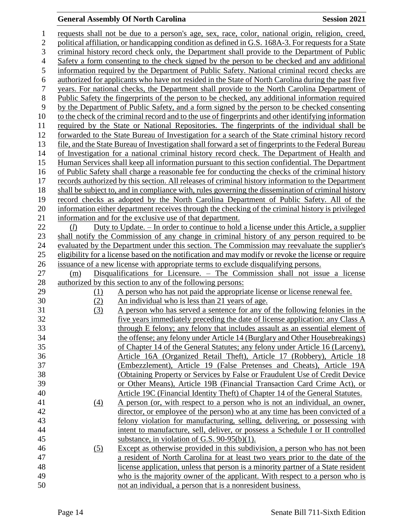# **General Assembly Of North Carolina Session 2021**

| $\mathbf 1$    |                   | requests shall not be due to a person's age, sex, race, color, national origin, religion, creed,                                                                  |
|----------------|-------------------|-------------------------------------------------------------------------------------------------------------------------------------------------------------------|
| $\overline{c}$ |                   | political affiliation, or handicapping condition as defined in G.S. 168A-3. For requests for a State                                                              |
| 3              |                   | criminal history record check only, the Department shall provide to the Department of Public                                                                      |
| 4              |                   | Safety a form consenting to the check signed by the person to be checked and any additional                                                                       |
| 5              |                   | information required by the Department of Public Safety. National criminal record checks are                                                                      |
| 6              |                   | authorized for applicants who have not resided in the State of North Carolina during the past five                                                                |
| 7              |                   | years. For national checks, the Department shall provide to the North Carolina Department of                                                                      |
| 8              |                   | Public Safety the fingerprints of the person to be checked, any additional information required                                                                   |
| 9              |                   | by the Department of Public Safety, and a form signed by the person to be checked consenting                                                                      |
| 10             |                   | to the check of the criminal record and to the use of fingerprints and other identifying information                                                              |
| 11             |                   | required by the State or National Repositories. The fingerprints of the individual shall be                                                                       |
| 12             |                   | forwarded to the State Bureau of Investigation for a search of the State criminal history record                                                                  |
| 13             |                   | file, and the State Bureau of Investigation shall forward a set of fingerprints to the Federal Bureau                                                             |
| 14             |                   | of Investigation for a national criminal history record check. The Department of Health and                                                                       |
| 15             |                   | Human Services shall keep all information pursuant to this section confidential. The Department                                                                   |
| 16             |                   | of Public Safety shall charge a reasonable fee for conducting the checks of the criminal history                                                                  |
| 17             |                   | records authorized by this section. All releases of criminal history information to the Department                                                                |
| 18             |                   | shall be subject to, and in compliance with, rules governing the dissemination of criminal history                                                                |
| 19             |                   | record checks as adopted by the North Carolina Department of Public Safety. All of the                                                                            |
| 20             |                   | information either department receives through the checking of the criminal history is privileged                                                                 |
| 21             |                   | information and for the exclusive use of that department.                                                                                                         |
| 22             | (l)               | Duty to Update. – In order to continue to hold a license under this Article, a supplier                                                                           |
| 23<br>24       |                   | shall notify the Commission of any change in criminal history of any person required to be                                                                        |
|                |                   | evaluated by the Department under this section. The Commission may reevaluate the supplier's                                                                      |
| 25<br>26       |                   | eligibility for a license based on the notification and may modify or revoke the license or require                                                               |
| 27             | (m)               | issuance of a new license with appropriate terms to exclude disqualifying persons.<br>Disqualifications for Licensure. – The Commission shall not issue a license |
| 28             |                   | authorized by this section to any of the following persons:                                                                                                       |
| 29             | <u>(1)</u>        | A person who has not paid the appropriate license or license renewal fee.                                                                                         |
| 30             | (2)               | An individual who is less than 21 years of age.                                                                                                                   |
| 31             | (3)               | A person who has served a sentence for any of the following felonies in the                                                                                       |
| 32             |                   | five years immediately preceding the date of license application: any Class A                                                                                     |
| 33             |                   | through E felony; any felony that includes assault as an essential element of                                                                                     |
| 34             |                   | the offense; any felony under Article 14 (Burglary and Other Housebreakings)                                                                                      |
| 35             |                   | of Chapter 14 of the General Statutes; any felony under Article 16 (Larceny),                                                                                     |
| 36             |                   | Article 16A (Organized Retail Theft), Article 17 (Robbery), Article 18                                                                                            |
| 37             |                   | (Embezzlement), Article 19 (False Pretenses and Cheats), Article 19A                                                                                              |
| 38             |                   | (Obtaining Property or Services by False or Fraudulent Use of Credit Device                                                                                       |
| 39             |                   | or Other Means), Article 19B (Financial Transaction Card Crime Act), or                                                                                           |
| 40             |                   | Article 19C (Financial Identity Theft) of Chapter 14 of the General Statutes.                                                                                     |
| 41             | (4)               | A person (or, with respect to a person who is not an individual, an owner,                                                                                        |
| 42             |                   | director, or employee of the person) who at any time has been convicted of a                                                                                      |
| 43             |                   | felony violation for manufacturing, selling, delivering, or possessing with                                                                                       |
| 44             |                   | intent to manufacture, sell, deliver, or possess a Schedule I or II controlled                                                                                    |
| 45             |                   | substance, in violation of G.S. $90-95(b)(1)$ .                                                                                                                   |
| 46             | $\left( 5\right)$ | Except as otherwise provided in this subdivision, a person who has not been                                                                                       |
| 47             |                   | a resident of North Carolina for at least two years prior to the date of the                                                                                      |
| 48             |                   | license application, unless that person is a minority partner of a State resident                                                                                 |
| 49             |                   | who is the majority owner of the applicant. With respect to a person who is                                                                                       |
| 50             |                   | not an individual, a person that is a nonresident business.                                                                                                       |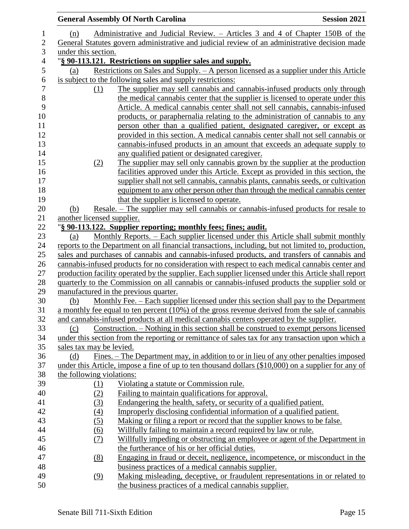|                            | <b>General Assembly Of North Carolina</b><br><b>Session 2021</b>                                                                                                                              |
|----------------------------|-----------------------------------------------------------------------------------------------------------------------------------------------------------------------------------------------|
| (n)                        | Administrative and Judicial Review. – Articles 3 and 4 of Chapter 150B of the                                                                                                                 |
|                            | General Statutes govern administrative and judicial review of an administrative decision made                                                                                                 |
| under this section.        |                                                                                                                                                                                               |
|                            | "§ 90-113.121. Restrictions on supplier sales and supply.                                                                                                                                     |
| (a)                        | Restrictions on Sales and Supply. - A person licensed as a supplier under this Article                                                                                                        |
|                            | is subject to the following sales and supply restrictions:                                                                                                                                    |
| (1)                        | The supplier may sell cannabis and cannabis-infused products only through                                                                                                                     |
|                            | the medical cannabis center that the supplier is licensed to operate under this                                                                                                               |
|                            | Article. A medical cannabis center shall not sell cannabis, cannabis-infused                                                                                                                  |
|                            | products, or paraphernalia relating to the administration of cannabis to any                                                                                                                  |
|                            | person other than a qualified patient, designated caregiver, or except as                                                                                                                     |
|                            | provided in this section. A medical cannabis center shall not sell cannabis or                                                                                                                |
|                            | cannabis-infused products in an amount that exceeds an adequate supply to                                                                                                                     |
|                            | any qualified patient or designated caregiver.                                                                                                                                                |
| (2)                        | The supplier may sell only cannabis grown by the supplier at the production                                                                                                                   |
|                            | facilities approved under this Article. Except as provided in this section, the                                                                                                               |
|                            | supplier shall not sell cannabis, cannabis plants, cannabis seeds, or cultivation                                                                                                             |
|                            | equipment to any other person other than through the medical cannabis center                                                                                                                  |
|                            | that the supplier is licensed to operate.                                                                                                                                                     |
| (b)                        | <u>Resale. – The supplier may sell cannabis or cannabis-infused products for resale to</u>                                                                                                    |
| another licensed supplier. |                                                                                                                                                                                               |
|                            | "§ 90-113.122. Supplier reporting; monthly fees; fines; audit.                                                                                                                                |
| (a)                        | Monthly Reports. – Each supplier licensed under this Article shall submit monthly                                                                                                             |
|                            | reports to the Department on all financial transactions, including, but not limited to, production,                                                                                           |
|                            | sales and purchases of cannabis and cannabis-infused products, and transfers of cannabis and                                                                                                  |
|                            | cannabis-infused products for no consideration with respect to each medical cannabis center and                                                                                               |
|                            | production facility operated by the supplier. Each supplier licensed under this Article shall report                                                                                          |
|                            | quarterly to the Commission on all cannabis or cannabis-infused products the supplier sold or                                                                                                 |
|                            | manufactured in the previous quarter.                                                                                                                                                         |
| (b)                        | <u>Monthly Fee. – Each supplier licensed under this section shall pay to the Department</u>                                                                                                   |
|                            | a monthly fee equal to ten percent $(10\%)$ of the gross revenue derived from the sale of cannabis<br>and cannabis-infused products at all medical cannabis centers operated by the supplier. |
| (c)                        | Construction. – Nothing in this section shall be construed to exempt persons licensed                                                                                                         |
|                            | under this section from the reporting or remittance of sales tax for any transaction upon which a                                                                                             |
| sales tax may be levied.   |                                                                                                                                                                                               |
| (d)                        | Fines. – The Department may, in addition to or in lieu of any other penalties imposed                                                                                                         |
|                            | under this Article, impose a fine of up to ten thousand dollars (\$10,000) on a supplier for any of                                                                                           |
| the following violations:  |                                                                                                                                                                                               |
| <u>(1)</u>                 | Violating a statute or Commission rule.                                                                                                                                                       |
| (2)                        | Failing to maintain qualifications for approval.                                                                                                                                              |
| (3)                        | Endangering the health, safety, or security of a qualified patient.                                                                                                                           |
| (4)                        | Improperly disclosing confidential information of a qualified patient.                                                                                                                        |
| (5)                        | Making or filing a report or record that the supplier knows to be false.                                                                                                                      |
| (6)                        | Willfully failing to maintain a record required by law or rule.                                                                                                                               |
| <u>(7)</u>                 | Willfully impeding or obstructing an employee or agent of the Department in                                                                                                                   |
|                            | the furtherance of his or her official duties.                                                                                                                                                |
| (8)                        | Engaging in fraud or deceit, negligence, incompetence, or misconduct in the                                                                                                                   |
|                            | business practices of a medical cannabis supplier.                                                                                                                                            |
| (9)                        | Making misleading, deceptive, or fraudulent representations in or related to                                                                                                                  |
|                            | the business practices of a medical cannabis supplier.                                                                                                                                        |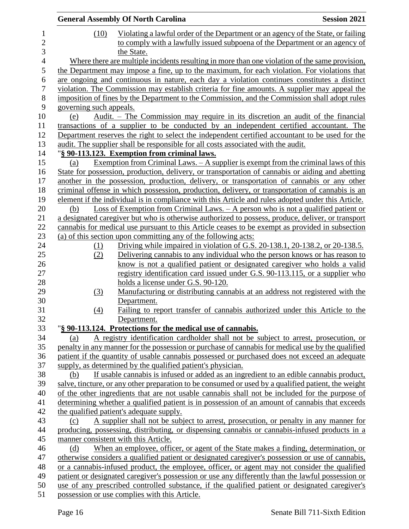|                  |                         | <b>General Assembly Of North Carolina</b>                                                                                                                                                          | <b>Session 2021</b> |
|------------------|-------------------------|----------------------------------------------------------------------------------------------------------------------------------------------------------------------------------------------------|---------------------|
| $\mathbf 1$      | (10)                    | Violating a lawful order of the Department or an agency of the State, or failing                                                                                                                   |                     |
| $\mathbf{2}$     |                         | to comply with a lawfully issued subpoena of the Department or an agency of                                                                                                                        |                     |
| 3                |                         | the State.                                                                                                                                                                                         |                     |
| $\overline{4}$   |                         | Where there are multiple incidents resulting in more than one violation of the same provision,                                                                                                     |                     |
| 5                |                         | the Department may impose a fine, up to the maximum, for each violation. For violations that                                                                                                       |                     |
| 6                |                         | are ongoing and continuous in nature, each day a violation continues constitutes a distinct                                                                                                        |                     |
| $\boldsymbol{7}$ |                         | violation. The Commission may establish criteria for fine amounts. A supplier may appeal the                                                                                                       |                     |
| 8                |                         | imposition of fines by the Department to the Commission, and the Commission shall adopt rules                                                                                                      |                     |
| 9                | governing such appeals. |                                                                                                                                                                                                    |                     |
| 10               | (e)                     | Audit. – The Commission may require in its discretion an audit of the financial                                                                                                                    |                     |
| 11               |                         | transactions of a supplier to be conducted by an independent certified accountant. The                                                                                                             |                     |
| 12               |                         | Department reserves the right to select the independent certified accountant to be used for the                                                                                                    |                     |
| 13               |                         | audit. The supplier shall be responsible for all costs associated with the audit.                                                                                                                  |                     |
| 14               |                         | "§ 90-113.123. Exemption from criminal laws.                                                                                                                                                       |                     |
| 15               | (a)                     | Exemption from Criminal Laws. $-$ A supplier is exempt from the criminal laws of this                                                                                                              |                     |
| 16               |                         | State for possession, production, delivery, or transportation of cannabis or aiding and abetting                                                                                                   |                     |
| 17               |                         | another in the possession, production, delivery, or transportation of cannabis or any other                                                                                                        |                     |
| 18               |                         | criminal offense in which possession, production, delivery, or transportation of cannabis is an                                                                                                    |                     |
| 19               |                         | element if the individual is in compliance with this Article and rules adopted under this Article.                                                                                                 |                     |
| 20               | (b)                     | Loss of Exemption from Criminal Laws. $- A$ person who is not a qualified patient or                                                                                                               |                     |
| 21               |                         | a designated caregiver but who is otherwise authorized to possess, produce, deliver, or transport                                                                                                  |                     |
| 22               |                         | cannabis for medical use pursuant to this Article ceases to be exempt as provided in subsection                                                                                                    |                     |
| 23               |                         | (a) of this section upon committing any of the following acts:                                                                                                                                     |                     |
| 24               | (1)                     | Driving while impaired in violation of G.S. 20-138.1, 20-138.2, or 20-138.5.                                                                                                                       |                     |
| 25               | (2)                     | Delivering cannabis to any individual who the person knows or has reason to                                                                                                                        |                     |
| 26               |                         | know is not a qualified patient or designated caregiver who holds a valid                                                                                                                          |                     |
| 27               |                         | registry identification card issued under G.S. 90-113.115, or a supplier who                                                                                                                       |                     |
| 28               |                         | holds a license under G.S. 90-120.                                                                                                                                                                 |                     |
| 29               | (3)                     | Manufacturing or distributing cannabis at an address not registered with the                                                                                                                       |                     |
| 30               |                         | Department.                                                                                                                                                                                        |                     |
| 31               | (4)                     | Failing to report transfer of cannabis authorized under this Article to the                                                                                                                        |                     |
| 32               |                         | Department.                                                                                                                                                                                        |                     |
| 33               |                         | "§ 90-113.124. Protections for the medical use of cannabis.                                                                                                                                        |                     |
| 34               | (a)                     | A registry identification cardholder shall not be subject to arrest, prosecution, or                                                                                                               |                     |
| 35<br>36         |                         | penalty in any manner for the possession or purchase of cannabis for medical use by the qualified<br>patient if the quantity of usable cannabis possessed or purchased does not exceed an adequate |                     |
| 37               |                         | supply, as determined by the qualified patient's physician.                                                                                                                                        |                     |
| 38               | (b)                     | If usable cannabis is infused or added as an ingredient to an edible cannabis product,                                                                                                             |                     |
| 39               |                         | salve, tincture, or any other preparation to be consumed or used by a qualified patient, the weight                                                                                                |                     |
| 40               |                         | of the other ingredients that are not usable cannabis shall not be included for the purpose of                                                                                                     |                     |
| 41               |                         | determining whether a qualified patient is in possession of an amount of cannabis that exceeds                                                                                                     |                     |
| 42               |                         | the qualified patient's adequate supply.                                                                                                                                                           |                     |
| 43               | (c)                     | A supplier shall not be subject to arrest, prosecution, or penalty in any manner for                                                                                                               |                     |
| 44               |                         | producing, possessing, distributing, or dispensing cannabis or cannabis-infused products in a                                                                                                      |                     |
| 45               |                         | manner consistent with this Article.                                                                                                                                                               |                     |
| 46               | (d)                     | When an employee, officer, or agent of the State makes a finding, determination, or                                                                                                                |                     |
| 47               |                         | otherwise considers a qualified patient or designated caregiver's possession or use of cannabis,                                                                                                   |                     |
| 48               |                         | or a cannabis-infused product, the employee, officer, or agent may not consider the qualified                                                                                                      |                     |
| 49               |                         | patient or designated caregiver's possession or use any differently than the lawful possession or                                                                                                  |                     |
| 50               |                         | use of any prescribed controlled substance, if the qualified patient or designated caregiver's                                                                                                     |                     |
| 51               |                         | possession or use complies with this Article.                                                                                                                                                      |                     |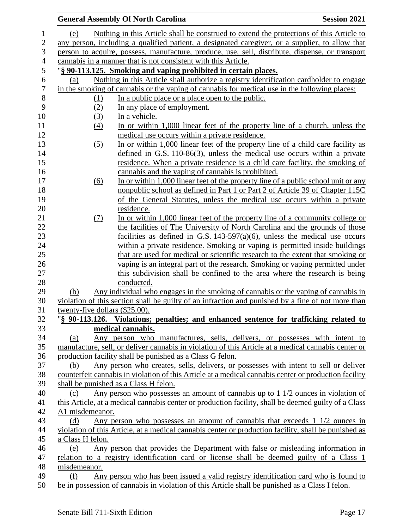|                                | <b>General Assembly Of North Carolina</b>                                                             | <b>Session 2021</b> |
|--------------------------------|-------------------------------------------------------------------------------------------------------|---------------------|
| (e)                            | Nothing in this Article shall be construed to extend the protections of this Article to               |                     |
|                                | any person, including a qualified patient, a designated caregiver, or a supplier, to allow that       |                     |
|                                | person to acquire, possess, manufacture, produce, use, sell, distribute, dispense, or transport       |                     |
|                                | cannabis in a manner that is not consistent with this Article.                                        |                     |
|                                | "§ 90-113.125. Smoking and vaping prohibited in certain places.                                       |                     |
| (a)                            | Nothing in this Article shall authorize a registry identification cardholder to engage                |                     |
|                                | in the smoking of cannabis or the vaping of cannabis for medical use in the following places:         |                     |
| (1)                            | In a public place or a place open to the public.                                                      |                     |
| (2)                            | In any place of employment.                                                                           |                     |
| (3)                            | In a vehicle.                                                                                         |                     |
| (4)                            | In or within 1,000 linear feet of the property line of a church, unless the                           |                     |
|                                | medical use occurs within a private residence.                                                        |                     |
| $\left( 5\right)$              | In or within 1,000 linear feet of the property line of a child care facility as                       |                     |
|                                | defined in G.S. $110-86(3)$ , unless the medical use occurs within a private                          |                     |
|                                | residence. When a private residence is a child care facility, the smoking of                          |                     |
|                                | cannabis and the vaping of cannabis is prohibited.                                                    |                     |
| <u>(6)</u>                     | In or within 1,000 linear feet of the property line of a public school unit or any                    |                     |
|                                | nonpublic school as defined in Part 1 or Part 2 of Article 39 of Chapter 115C                         |                     |
|                                | of the General Statutes, unless the medical use occurs within a private                               |                     |
|                                | residence.                                                                                            |                     |
| (7)                            | In or within 1,000 linear feet of the property line of a community college or                         |                     |
|                                | the facilities of The University of North Carolina and the grounds of those                           |                     |
|                                | facilities as defined in G.S. $143-597(a)(6)$ , unless the medical use occurs                         |                     |
|                                | within a private residence. Smoking or vaping is permitted inside buildings                           |                     |
|                                | that are used for medical or scientific research to the extent that smoking or                        |                     |
|                                | vaping is an integral part of the research. Smoking or vaping permitted under                         |                     |
|                                | this subdivision shall be confined to the area where the research is being                            |                     |
| (b)                            | conducted.<br>Any individual who engages in the smoking of cannabis or the vaping of cannabis in      |                     |
|                                | violation of this section shall be guilty of an infraction and punished by a fine of not more than    |                     |
| twenty-five dollars (\$25.00). |                                                                                                       |                     |
|                                | "§ 90-113.126. Violations; penalties; and enhanced sentence for trafficking related to                |                     |
|                                | medical cannabis.                                                                                     |                     |
| (a)                            | Any person who manufactures, sells, delivers, or possesses with intent to                             |                     |
|                                | manufacture, sell, or deliver cannabis in violation of this Article at a medical cannabis center or   |                     |
|                                | production facility shall be punished as a Class G felon.                                             |                     |
| (b)                            | Any person who creates, sells, delivers, or possesses with intent to sell or deliver                  |                     |
|                                | counterfeit cannabis in violation of this Article at a medical cannabis center or production facility |                     |
|                                | shall be punished as a Class H felon.                                                                 |                     |
| (c)                            | Any person who possesses an amount of cannabis up to 1 1/2 ounces in violation of                     |                     |
|                                | this Article, at a medical cannabis center or production facility, shall be deemed guilty of a Class  |                     |
| A1 misdemeanor.                |                                                                                                       |                     |
| (d)                            | Any person who possesses an amount of cannabis that exceeds $1/1/2$ ounces in                         |                     |
|                                | violation of this Article, at a medical cannabis center or production facility, shall be punished as  |                     |
| a Class H felon.               |                                                                                                       |                     |
| (e)                            | Any person that provides the Department with false or misleading information in                       |                     |
|                                | relation to a registry identification card or license shall be deemed guilty of a Class 1             |                     |
| misdemeanor.                   |                                                                                                       |                     |
| (f)                            | Any person who has been issued a valid registry identification card who is found to                   |                     |
|                                | be in possession of cannabis in violation of this Article shall be punished as a Class I felon.       |                     |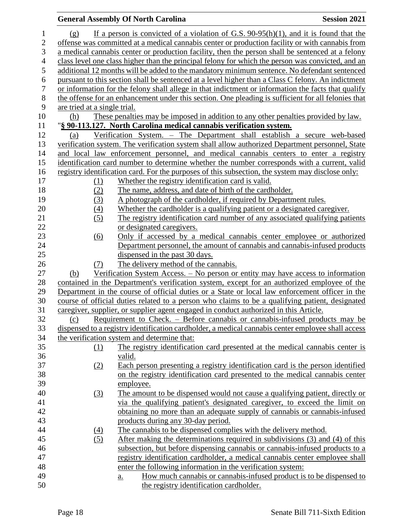# **General Assembly Of North Carolina Session 2021**

| $\mathbf{1}$             | (g)                          | If a person is convicted of a violation of G.S. $90-95(h)(1)$ , and it is found that the            |
|--------------------------|------------------------------|-----------------------------------------------------------------------------------------------------|
| $\overline{2}$           |                              | offense was committed at a medical cannabis center or production facility or with cannabis from     |
| 3                        |                              | a medical cannabis center or production facility, then the person shall be sentenced at a felony    |
| $\overline{\mathcal{A}}$ |                              | class level one class higher than the principal felony for which the person was convicted, and an   |
| 5                        |                              | additional 12 months will be added to the mandatory minimum sentence. No defendant sentenced        |
| 6                        |                              | pursuant to this section shall be sentenced at a level higher than a Class C felony. An indictment  |
| $\boldsymbol{7}$         |                              | or information for the felony shall allege in that indictment or information the facts that qualify |
| 8                        |                              | the offense for an enhancement under this section. One pleading is sufficient for all felonies that |
| 9                        | are tried at a single trial. |                                                                                                     |
| 10                       | (h)                          | These penalties may be imposed in addition to any other penalties provided by law.                  |
| 11                       |                              | "§ 90-113.127. North Carolina medical cannabis verification system.                                 |
| 12                       | (a)                          | Verification System. – The Department shall establish a secure web-based                            |
| 13                       |                              | verification system. The verification system shall allow authorized Department personnel, State     |
| 14                       |                              | and local law enforcement personnel, and medical cannabis centers to enter a registry               |
| 15                       |                              | identification card number to determine whether the number corresponds with a current, valid        |
| 16                       |                              | registry identification card. For the purposes of this subsection, the system may disclose only:    |
| 17                       | $\Omega$                     | Whether the registry identification card is valid.                                                  |
| 18                       | (2)                          | The name, address, and date of birth of the cardholder.                                             |
| 19                       | (3)                          | A photograph of the cardholder, if required by Department rules.                                    |
| 20                       | (4)                          | Whether the cardholder is a qualifying patient or a designated caregiver.                           |
| 21                       | (5)                          | The registry identification card number of any associated qualifying patients                       |
| 22                       |                              | or designated caregivers.                                                                           |
| 23                       | $\underline{(6)}$            | Only if accessed by a medical cannabis center employee or authorized                                |
| 24                       |                              | Department personnel, the amount of cannabis and cannabis-infused products                          |
| 25                       |                              | dispensed in the past 30 days.                                                                      |
| 26                       | (7)                          | The delivery method of the cannabis.                                                                |
| 27                       | (b)                          | Verification System Access. – No person or entity may have access to information                    |
| 28                       |                              | contained in the Department's verification system, except for an authorized employee of the         |
| 29                       |                              | Department in the course of official duties or a State or local law enforcement officer in the      |
| 30                       |                              | course of official duties related to a person who claims to be a qualifying patient, designated     |
| 31                       |                              | caregiver, supplier, or supplier agent engaged in conduct authorized in this Article.               |
| 32                       | (c)                          | Requirement to Check. – Before cannabis or cannabis-infused products may be                         |
| 33                       |                              | dispensed to a registry identification cardholder, a medical cannabis center employee shall access  |
| 34                       |                              | the verification system and determine that:                                                         |
| 35                       | (1)                          | The registry identification card presented at the medical cannabis center is                        |
| 36                       |                              | valid.                                                                                              |
| 37                       | (2)                          | Each person presenting a registry identification card is the person identified                      |
| 38                       |                              | on the registry identification card presented to the medical cannabis center                        |
| 39                       |                              | employee.                                                                                           |
| 40                       | $\left(3\right)$             | The amount to be dispensed would not cause a qualifying patient, directly or                        |
| 41                       |                              | via the qualifying patient's designated caregiver, to exceed the limit on                           |
| 42                       |                              | obtaining no more than an adequate supply of cannabis or cannabis-infused                           |
| 43                       |                              | products during any 30-day period.                                                                  |
| 44                       | (4)                          | The cannabis to be dispensed complies with the delivery method.                                     |
| 45                       | (5)                          | After making the determinations required in subdivisions (3) and (4) of this                        |
| 46                       |                              | subsection, but before dispensing cannabis or cannabis-infused products to a                        |
| 47                       |                              | registry identification cardholder, a medical cannabis center employee shall                        |
| 48                       |                              | enter the following information in the verification system:                                         |
| 49                       |                              | How much cannabis or cannabis-infused product is to be dispensed to<br><u>a.</u>                    |
| 50                       |                              | the registry identification cardholder.                                                             |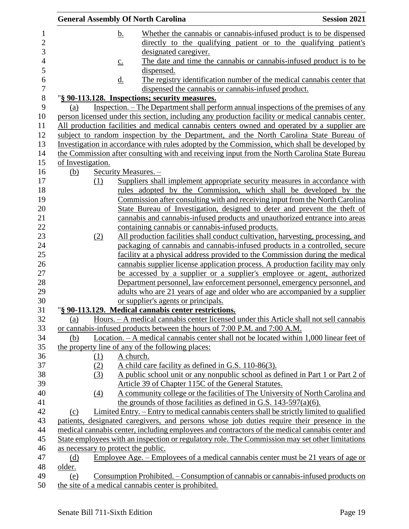|                   |          | <b>General Assembly Of North Carolina</b>                                                                                                                                                      | <b>Session 2021</b> |
|-------------------|----------|------------------------------------------------------------------------------------------------------------------------------------------------------------------------------------------------|---------------------|
|                   |          | Whether the cannabis or cannabis-infused product is to be dispensed<br><u>b.</u>                                                                                                               |                     |
|                   |          | directly to the qualifying patient or to the qualifying patient's                                                                                                                              |                     |
|                   |          | designated caregiver.                                                                                                                                                                          |                     |
|                   |          | The date and time the cannabis or cannabis-infused product is to be<br>$\underline{C}$ .                                                                                                       |                     |
|                   |          | dispensed.                                                                                                                                                                                     |                     |
|                   |          | The registry identification number of the medical cannabis center that<br><u>d.</u>                                                                                                            |                     |
|                   |          | dispensed the cannabis or cannabis-infused product.                                                                                                                                            |                     |
|                   |          | "§ 90-113.128. Inspections; security measures.                                                                                                                                                 |                     |
| (a)               |          | Inspection. - The Department shall perform annual inspections of the premises of any                                                                                                           |                     |
|                   |          | person licensed under this section, including any production facility or medical cannabis center.                                                                                              |                     |
|                   |          | All production facilities and medical cannabis centers owned and operated by a supplier are                                                                                                    |                     |
|                   |          | subject to random inspection by the Department, and the North Carolina State Bureau of                                                                                                         |                     |
|                   |          | Investigation in accordance with rules adopted by the Commission, which shall be developed by                                                                                                  |                     |
|                   |          | the Commission after consulting with and receiving input from the North Carolina State Bureau                                                                                                  |                     |
| of Investigation. |          |                                                                                                                                                                                                |                     |
| (b)               |          | Security Measures. -                                                                                                                                                                           |                     |
|                   | (1)      | Suppliers shall implement appropriate security measures in accordance with                                                                                                                     |                     |
|                   |          | rules adopted by the Commission, which shall be developed by the                                                                                                                               |                     |
|                   |          | Commission after consulting with and receiving input from the North Carolina                                                                                                                   |                     |
|                   |          | State Bureau of Investigation, designed to deter and prevent the theft of                                                                                                                      |                     |
|                   |          | cannabis and cannabis-infused products and unauthorized entrance into areas                                                                                                                    |                     |
|                   |          | containing cannabis or cannabis-infused products.                                                                                                                                              |                     |
|                   | (2)      | All production facilities shall conduct cultivation, harvesting, processing, and                                                                                                               |                     |
|                   |          | packaging of cannabis and cannabis-infused products in a controlled, secure                                                                                                                    |                     |
|                   |          | facility at a physical address provided to the Commission during the medical                                                                                                                   |                     |
|                   |          | cannabis supplier license application process. A production facility may only                                                                                                                  |                     |
|                   |          | be accessed by a supplier or a supplier's employee or agent, authorized                                                                                                                        |                     |
|                   |          | Department personnel, law enforcement personnel, emergency personnel, and                                                                                                                      |                     |
|                   |          | adults who are 21 years of age and older who are accompanied by a supplier                                                                                                                     |                     |
|                   |          | or supplier's agents or principals.                                                                                                                                                            |                     |
|                   |          | "§ 90-113.129. Medical cannabis center restrictions.                                                                                                                                           |                     |
| (a)               |          | Hours. - A medical cannabis center licensed under this Article shall not sell cannabis                                                                                                         |                     |
|                   |          | or cannabis-infused products between the hours of 7:00 P.M. and 7:00 A.M.                                                                                                                      |                     |
| <u>(b)</u>        |          | Location. – A medical cannabis center shall not be located within 1,000 linear feet of                                                                                                         |                     |
|                   |          | the property line of any of the following places:                                                                                                                                              |                     |
|                   | (1)      | A church.                                                                                                                                                                                      |                     |
|                   | (2)      | A child care facility as defined in G.S. 110-86(3).                                                                                                                                            |                     |
|                   | (3)      | A public school unit or any nonpublic school as defined in Part 1 or Part 2 of                                                                                                                 |                     |
|                   |          | Article 39 of Chapter 115C of the General Statutes.                                                                                                                                            |                     |
|                   | $\Delta$ | A community college or the facilities of The University of North Carolina and                                                                                                                  |                     |
|                   |          | the grounds of those facilities as defined in G.S. $143-597(a)(6)$ .                                                                                                                           |                     |
| (c)               |          | Limited Entry. – Entry to medical cannabis centers shall be strictly limited to qualified                                                                                                      |                     |
|                   |          | patients, designated caregivers, and persons whose job duties require their presence in the<br>medical cannabis center, including employees and contractors of the medical cannabis center and |                     |
|                   |          | State employees with an inspection or regulatory role. The Commission may set other limitations                                                                                                |                     |
|                   |          | as necessary to protect the public.                                                                                                                                                            |                     |
| (d)               |          | Employee Age. – Employees of a medical cannabis center must be 21 years of age or                                                                                                              |                     |
| older.            |          |                                                                                                                                                                                                |                     |
| (e)               |          | <u>Consumption Prohibited. – Consumption of cannabis or cannabis-infused products on</u>                                                                                                       |                     |
|                   |          | the site of a medical cannabis center is prohibited.                                                                                                                                           |                     |
|                   |          |                                                                                                                                                                                                |                     |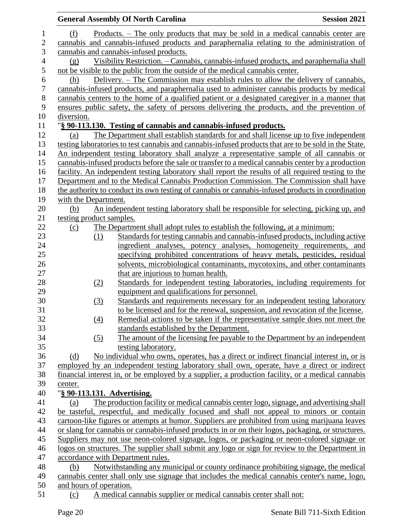|                  |                             | <b>General Assembly Of North Carolina</b>                                                                                                                                           | <b>Session 2021</b> |
|------------------|-----------------------------|-------------------------------------------------------------------------------------------------------------------------------------------------------------------------------------|---------------------|
| $\mathbf{1}$     | (f)                         | Products. – The only products that may be sold in a medical cannabis center are                                                                                                     |                     |
| $\overline{2}$   |                             | cannabis and cannabis-infused products and paraphernalia relating to the administration of                                                                                          |                     |
| 3                |                             | cannabis and cannabis-infused products.                                                                                                                                             |                     |
| 4                | (g)                         | Visibility Restriction. - Cannabis, cannabis-infused products, and paraphernalia shall                                                                                              |                     |
| $\mathfrak s$    |                             | not be visible to the public from the outside of the medical cannabis center.                                                                                                       |                     |
| 6                | (h)                         | Delivery. – The Commission may establish rules to allow the delivery of cannabis,                                                                                                   |                     |
| $\boldsymbol{7}$ |                             | cannabis-infused products, and paraphernalia used to administer cannabis products by medical                                                                                        |                     |
| $8\,$            |                             | cannabis centers to the home of a qualified patient or a designated caregiver in a manner that                                                                                      |                     |
| 9                |                             | ensures public safety, the safety of persons delivering the products, and the prevention of                                                                                         |                     |
| 10               | diversion.                  |                                                                                                                                                                                     |                     |
| 11               |                             | "§ 90-113.130. Testing of cannabis and cannabis-infused products.                                                                                                                   |                     |
| 12               | (a)                         | The Department shall establish standards for and shall license up to five independent                                                                                               |                     |
| 13               |                             | testing laboratories to test cannabis and cannabis-infused products that are to be sold in the State.                                                                               |                     |
| 14               |                             | An independent testing laboratory shall analyze a representative sample of all cannabis or                                                                                          |                     |
| 15               |                             | cannabis-infused products before the sale or transfer to a medical cannabis center by a production                                                                                  |                     |
| 16               |                             | facility. An independent testing laboratory shall report the results of all required testing to the                                                                                 |                     |
| 17               |                             | Department and to the Medical Cannabis Production Commission. The Commission shall have                                                                                             |                     |
| 18               |                             | the authority to conduct its own testing of cannabis or cannabis-infused products in coordination                                                                                   |                     |
| 19               | with the Department.        |                                                                                                                                                                                     |                     |
| 20               | (b)                         | An independent testing laboratory shall be responsible for selecting, picking up, and                                                                                               |                     |
| 21               | testing product samples.    |                                                                                                                                                                                     |                     |
| 22               | <u>(c)</u>                  | The Department shall adopt rules to establish the following, at a minimum:                                                                                                          |                     |
| 23               | (1)                         | Standards for testing cannabis and cannabis-infused products, including active                                                                                                      |                     |
| 24               |                             | ingredient analyses, potency analyses, homogeneity requirements, and                                                                                                                |                     |
| 25               |                             | specifying prohibited concentrations of heavy metals, pesticides, residual                                                                                                          |                     |
| 26               |                             | solvents, microbiological contaminants, mycotoxins, and other contaminants                                                                                                          |                     |
| 27               |                             | that are injurious to human health.                                                                                                                                                 |                     |
| 28               | (2)                         | Standards for independent testing laboratories, including requirements for                                                                                                          |                     |
| 29               |                             | equipment and qualifications for personnel.                                                                                                                                         |                     |
| 30               | (3)                         | Standards and requirements necessary for an independent testing laboratory                                                                                                          |                     |
| 31               |                             | to be licensed and for the renewal, suspension, and revocation of the license.                                                                                                      |                     |
| 32               | $\left(4\right)$            | Remedial actions to be taken if the representative sample does not meet the                                                                                                         |                     |
| 33               |                             | standards established by the Department.                                                                                                                                            |                     |
| 34               | (5)                         | The amount of the licensing fee payable to the Department by an independent                                                                                                         |                     |
| 35               |                             | testing laboratory.                                                                                                                                                                 |                     |
| 36               | (d)                         | No individual who owns, operates, has a direct or indirect financial interest in, or is                                                                                             |                     |
| 37               |                             | employed by an independent testing laboratory shall own, operate, have a direct or indirect                                                                                         |                     |
| 38               |                             | financial interest in, or be employed by a supplier, a production facility, or a medical cannabis                                                                                   |                     |
| 39               | center.                     |                                                                                                                                                                                     |                     |
| 40               | "§ 90-113.131. Advertising. |                                                                                                                                                                                     |                     |
| 41<br>42         | (a)                         | The production facility or medical cannabis center logo, signage, and advertising shall<br>be tasteful, respectful, and medically focused and shall not appeal to minors or contain |                     |
| 43               |                             | cartoon-like figures or attempts at humor. Suppliers are prohibited from using marijuana leaves                                                                                     |                     |
| 44               |                             | or slang for cannabis or cannabis-infused products in or on their logos, packaging, or structures.                                                                                  |                     |
| 45               |                             | Suppliers may not use neon-colored signage, logos, or packaging or neon-colored signage or                                                                                          |                     |
| 46               |                             | logos on structures. The supplier shall submit any logo or sign for review to the Department in                                                                                     |                     |
| 47               |                             | accordance with Department rules.                                                                                                                                                   |                     |
| 48               | (b)                         | Notwithstanding any municipal or county ordinance prohibiting signage, the medical                                                                                                  |                     |
| 49               |                             | cannabis center shall only use signage that includes the medical cannabis center's name, logo,                                                                                      |                     |
| 50               | and hours of operation.     |                                                                                                                                                                                     |                     |
| 51               | (c)                         | A medical cannabis supplier or medical cannabis center shall not:                                                                                                                   |                     |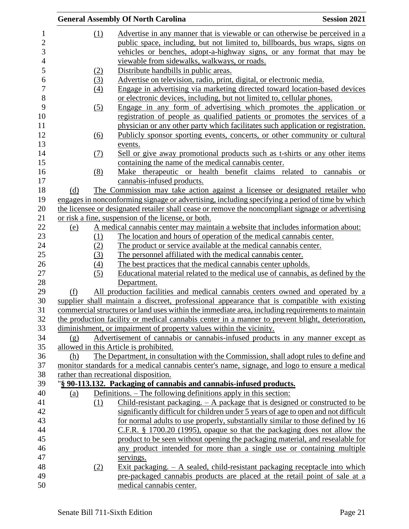|            |                  | <b>General Assembly Of North Carolina</b>                                                                                                                               | <b>Session 2021</b> |
|------------|------------------|-------------------------------------------------------------------------------------------------------------------------------------------------------------------------|---------------------|
|            | (1)              | Advertise in any manner that is viewable or can otherwise be perceived in a                                                                                             |                     |
|            |                  | public space, including, but not limited to, billboards, bus wraps, signs on                                                                                            |                     |
|            |                  | vehicles or benches, adopt-a-highway signs, or any format that may be                                                                                                   |                     |
|            |                  | viewable from sidewalks, walkways, or roads.                                                                                                                            |                     |
|            | (2)              | Distribute handbills in public areas.                                                                                                                                   |                     |
|            | (3)              | Advertise on television, radio, print, digital, or electronic media.                                                                                                    |                     |
|            | (4)              | Engage in advertising via marketing directed toward location-based devices                                                                                              |                     |
|            |                  | or electronic devices, including, but not limited to, cellular phones.                                                                                                  |                     |
|            | (5)              | Engage in any form of advertising which promotes the application or                                                                                                     |                     |
|            |                  | registration of people as qualified patients or promotes the services of a                                                                                              |                     |
|            |                  | physician or any other party which facilitates such application or registration.                                                                                        |                     |
|            | (6)              | Publicly sponsor sporting events, concerts, or other community or cultural                                                                                              |                     |
|            |                  | events.                                                                                                                                                                 |                     |
|            | <u>(7)</u>       | <u>Sell or give away promotional products such as t-shirts or any other items</u>                                                                                       |                     |
|            |                  | containing the name of the medical cannabis center.                                                                                                                     |                     |
|            | (8)              | Make therapeutic or health benefit claims related to cannabis                                                                                                           | <sub>or</sub>       |
|            |                  | cannabis-infused products.                                                                                                                                              |                     |
| (d)        |                  | The Commission may take action against a licensee or designated retailer who                                                                                            |                     |
|            |                  | engages in nonconforming signage or advertising, including specifying a period of time by which                                                                         |                     |
|            |                  | the licensee or designated retailer shall cease or remove the noncompliant signage or advertising                                                                       |                     |
|            |                  | or risk a fine, suspension of the license, or both.                                                                                                                     |                     |
| <u>(e)</u> |                  | A medical cannabis center may maintain a website that includes information about:                                                                                       |                     |
|            | (1)              | The location and hours of operation of the medical cannabis center.                                                                                                     |                     |
|            | (2)              | The product or service available at the medical cannabis center.                                                                                                        |                     |
|            | (3)              | The personnel affiliated with the medical cannabis center.                                                                                                              |                     |
|            | $\left(4\right)$ | The best practices that the medical cannabis center upholds.                                                                                                            |                     |
|            | (5)              | Educational material related to the medical use of cannabis, as defined by the                                                                                          |                     |
|            |                  | Department.                                                                                                                                                             |                     |
| (f)        |                  | All production facilities and medical cannabis centers owned and operated by a                                                                                          |                     |
|            |                  | supplier shall maintain a discreet, professional appearance that is compatible with existing                                                                            |                     |
|            |                  | commercial structures or land uses within the immediate area, including requirements to maintain                                                                        |                     |
|            |                  | the production facility or medical cannabis center in a manner to prevent blight, deterioration,<br>diminishment, or impairment of property values within the vicinity. |                     |
|            |                  | Advertisement of cannabis or cannabis-infused products in any manner except as                                                                                          |                     |
| $\Omega$   |                  | allowed in this Article is prohibited.                                                                                                                                  |                     |
| (h)        |                  | The Department, in consultation with the Commission, shall adopt rules to define and                                                                                    |                     |
|            |                  | monitor standards for a medical cannabis center's name, signage, and logo to ensure a medical                                                                           |                     |
|            |                  | rather than recreational disposition.                                                                                                                                   |                     |
|            |                  | "§ 90-113.132. Packaging of cannabis and cannabis-infused products.                                                                                                     |                     |
| (a)        |                  | Definitions. – The following definitions apply in this section:                                                                                                         |                     |
|            | (1)              | Child-resistant packaging. $- A$ package that is designed or constructed to be                                                                                          |                     |
|            |                  | significantly difficult for children under 5 years of age to open and not difficult                                                                                     |                     |
|            |                  | for normal adults to use properly, substantially similar to those defined by 16                                                                                         |                     |
|            |                  | $C.F.R.$ § 1700.20 (1995), opaque so that the packaging does not allow the                                                                                              |                     |
|            |                  | product to be seen without opening the packaging material, and resealable for                                                                                           |                     |
|            |                  | any product intended for more than a single use or containing multiple                                                                                                  |                     |
|            |                  | servings.                                                                                                                                                               |                     |
|            | (2)              | Exit packaging. $- A$ sealed, child-resistant packaging receptacle into which                                                                                           |                     |
|            |                  | pre-packaged cannabis products are placed at the retail point of sale at a                                                                                              |                     |
|            |                  | medical cannabis center.                                                                                                                                                |                     |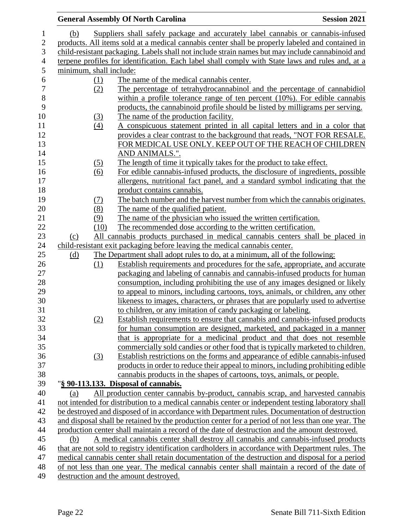|                         |                  | <b>General Assembly Of North Carolina</b>                                                           | <b>Session 2021</b> |
|-------------------------|------------------|-----------------------------------------------------------------------------------------------------|---------------------|
| (b)                     |                  | Suppliers shall safely package and accurately label cannabis or cannabis-infused                    |                     |
|                         |                  | products. All items sold at a medical cannabis center shall be properly labeled and contained in    |                     |
|                         |                  | child-resistant packaging. Labels shall not include strain names but may include cannabinoid and    |                     |
|                         |                  | terpene profiles for identification. Each label shall comply with State laws and rules and, at a    |                     |
| minimum, shall include: |                  |                                                                                                     |                     |
|                         | (1)              | The name of the medical cannabis center.                                                            |                     |
|                         | (2)              | The percentage of tetrahydrocannabinol and the percentage of cannabidiol                            |                     |
|                         |                  | within a profile tolerance range of ten percent $(10\%)$ . For edible cannabis                      |                     |
|                         |                  | products, the cannabinoid profile should be listed by milligrams per serving.                       |                     |
|                         | $\Omega$         | The name of the production facility.                                                                |                     |
|                         | $\left(4\right)$ | A conspicuous statement printed in all capital letters and in a color that                          |                     |
|                         |                  | provides a clear contrast to the background that reads, "NOT FOR RESALE.                            |                     |
|                         |                  | FOR MEDICAL USE ONLY. KEEP OUT OF THE REACH OF CHILDREN                                             |                     |
|                         |                  | AND ANIMALS.".                                                                                      |                     |
|                         | (5)              | The length of time it typically takes for the product to take effect.                               |                     |
|                         | (6)              | For edible cannabis-infused products, the disclosure of ingredients, possible                       |                     |
|                         |                  | allergens, nutritional fact panel, and a standard symbol indicating that the                        |                     |
|                         |                  | product contains cannabis.                                                                          |                     |
|                         | <u>(7)</u>       | The batch number and the harvest number from which the cannabis originates.                         |                     |
|                         | (8)              | The name of the qualified patient.                                                                  |                     |
|                         | (9)              | The name of the physician who issued the written certification.                                     |                     |
|                         | (10)             | The recommended dose according to the written certification.                                        |                     |
| (c)                     |                  | All cannabis products purchased in medical cannabis centers shall be placed in                      |                     |
|                         |                  | child-resistant exit packaging before leaving the medical cannabis center.                          |                     |
| <u>(d)</u>              |                  | The Department shall adopt rules to do, at a minimum, all of the following:                         |                     |
|                         | (1)              | Establish requirements and procedures for the safe, appropriate, and accurate                       |                     |
|                         |                  | packaging and labeling of cannabis and cannabis-infused products for human                          |                     |
|                         |                  | consumption, including prohibiting the use of any images designed or likely                         |                     |
|                         |                  | to appeal to minors, including cartoons, toys, animals, or children, any other                      |                     |
|                         |                  | likeness to images, characters, or phrases that are popularly used to advertise                     |                     |
|                         |                  | to children, or any imitation of candy packaging or labeling.                                       |                     |
|                         | (2)              | Establish requirements to ensure that cannabis and cannabis-infused products                        |                     |
|                         |                  | for human consumption are designed, marketed, and packaged in a manner                              |                     |
|                         |                  | that is appropriate for a medicinal product and that does not resemble                              |                     |
|                         |                  | commercially sold candies or other food that is typically marketed to children.                     |                     |
|                         | $\left(3\right)$ | Establish restrictions on the forms and appearance of edible cannabis-infused                       |                     |
|                         |                  | products in order to reduce their appeal to minors, including prohibiting edible                    |                     |
|                         |                  | cannabis products in the shapes of cartoons, toys, animals, or people.                              |                     |
|                         |                  | "§ 90-113.133. Disposal of cannabis.                                                                |                     |
| (a)                     |                  | All production center cannabis by-product, cannabis scrap, and harvested cannabis                   |                     |
|                         |                  | not intended for distribution to a medical cannabis center or independent testing laboratory shall  |                     |
|                         |                  | be destroyed and disposed of in accordance with Department rules. Documentation of destruction      |                     |
|                         |                  | and disposal shall be retained by the production center for a period of not less than one year. The |                     |
|                         |                  | production center shall maintain a record of the date of destruction and the amount destroyed.      |                     |
| (b)                     |                  | A medical cannabis center shall destroy all cannabis and cannabis-infused products                  |                     |
|                         |                  | that are not sold to registry identification cardholders in accordance with Department rules. The   |                     |
|                         |                  | medical cannabis center shall retain documentation of the destruction and disposal for a period     |                     |
|                         |                  | of not less than one year. The medical cannabis center shall maintain a record of the date of       |                     |
|                         |                  | destruction and the amount destroyed.                                                               |                     |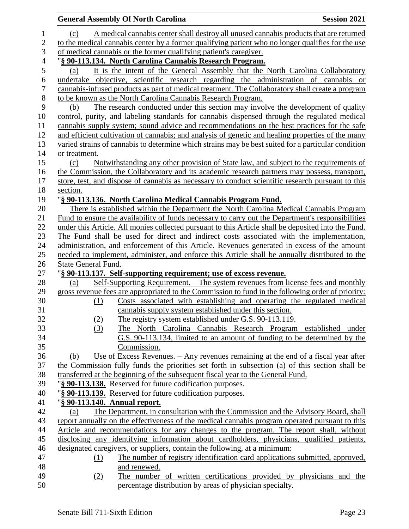|                  |                               | <b>General Assembly Of North Carolina</b>                                                           | <b>Session 2021</b> |
|------------------|-------------------------------|-----------------------------------------------------------------------------------------------------|---------------------|
| 1                | (c)                           | A medical cannabis center shall destroy all unused cannabis products that are returned              |                     |
| $\mathbf{2}$     |                               | to the medical cannabis center by a former qualifying patient who no longer qualifies for the use   |                     |
| $\mathfrak{Z}$   |                               | of medical cannabis or the former qualifying patient's caregiver.                                   |                     |
| $\overline{4}$   |                               | "§ 90-113.134. North Carolina Cannabis Research Program.                                            |                     |
| $\mathfrak s$    | (a)                           | It is the intent of the General Assembly that the North Carolina Collaboratory                      |                     |
| 6                |                               | undertake objective, scientific research regarding the administration of cannabis or                |                     |
| $\boldsymbol{7}$ |                               | cannabis-infused products as part of medical treatment. The Collaboratory shall create a program    |                     |
| $8\,$            |                               | to be known as the North Carolina Cannabis Research Program.                                        |                     |
| 9                | (b)                           | The research conducted under this section may involve the development of quality                    |                     |
| 10               |                               | control, purity, and labeling standards for cannabis dispensed through the regulated medical        |                     |
| 11               |                               | cannabis supply system; sound advice and recommendations on the best practices for the safe         |                     |
| 12               |                               | and efficient cultivation of cannabis; and analysis of genetic and healing properties of the many   |                     |
| 13               |                               | varied strains of cannabis to determine which strains may be best suited for a particular condition |                     |
| 14               | or treatment.                 |                                                                                                     |                     |
| 15               | (c)                           | Notwithstanding any other provision of State law, and subject to the requirements of                |                     |
| 16               |                               | the Commission, the Collaboratory and its academic research partners may possess, transport,        |                     |
| 17               |                               | store, test, and dispose of cannabis as necessary to conduct scientific research pursuant to this   |                     |
| 18               | section.                      |                                                                                                     |                     |
| 19               |                               | "§ 90-113.136. North Carolina Medical Cannabis Program Fund.                                        |                     |
| 20               |                               | There is established within the Department the North Carolina Medical Cannabis Program              |                     |
| 21               |                               | Fund to ensure the availability of funds necessary to carry out the Department's responsibilities   |                     |
| 22               |                               | under this Article. All monies collected pursuant to this Article shall be deposited into the Fund. |                     |
| 23               |                               | The Fund shall be used for direct and indirect costs associated with the implementation,            |                     |
| 24               |                               | administration, and enforcement of this Article. Revenues generated in excess of the amount         |                     |
| 25<br>26         |                               | needed to implement, administer, and enforce this Article shall be annually distributed to the      |                     |
| 27               | State General Fund.           | "§ 90-113.137. Self-supporting requirement; use of excess revenue.                                  |                     |
| 28               | (a)                           | <u>Self-Supporting Requirement. – The system revenues from license fees and monthly</u>             |                     |
| 29               |                               | gross revenue fees are appropriated to the Commission to fund in the following order of priority:   |                     |
| 30               | (1)                           | Costs associated with establishing and operating the regulated medical                              |                     |
| 31               |                               | cannabis supply system established under this section.                                              |                     |
| 32               | (2)                           | The registry system established under G.S. 90-113.119.                                              |                     |
| 33               | (3)                           | The North Carolina Cannabis Research Program established under                                      |                     |
| 34               |                               | G.S. 90-113.134, limited to an amount of funding to be determined by the                            |                     |
| 35               |                               | Commission.                                                                                         |                     |
| 36               | (b)                           | Use of Excess Revenues. $-$ Any revenues remaining at the end of a fiscal year after                |                     |
| 37               |                               | the Commission fully funds the priorities set forth in subsection (a) of this section shall be      |                     |
| 38               |                               | transferred at the beginning of the subsequent fiscal year to the General Fund.                     |                     |
| 39               |                               | "§ 90-113.138. Reserved for future codification purposes.                                           |                     |
| 40               |                               | "§ 90-113.139. Reserved for future codification purposes.                                           |                     |
| 41               | "§ 90-113.140. Annual report. |                                                                                                     |                     |
| 42               | (a)                           | The Department, in consultation with the Commission and the Advisory Board, shall                   |                     |
| 43               |                               | report annually on the effectiveness of the medical cannabis program operated pursuant to this      |                     |
| 44               |                               | Article and recommendations for any changes to the program. The report shall, without               |                     |
| 45               |                               | disclosing any identifying information about cardholders, physicians, qualified patients,           |                     |
| 46               |                               | designated caregivers, or suppliers, contain the following, at a minimum:                           |                     |
| 47               | <u>(1)</u>                    | The number of registry identification card applications submitted, approved,                        |                     |
| 48               |                               | and renewed.                                                                                        |                     |
| 49               | (2)                           | The number of written certifications provided by physicians and the                                 |                     |
| 50               |                               | percentage distribution by areas of physician specialty.                                            |                     |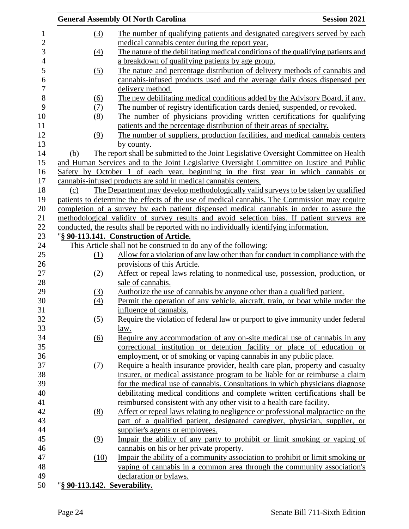|                  |                              | <b>General Assembly Of North Carolina</b>                                                    | <b>Session 2021</b> |
|------------------|------------------------------|----------------------------------------------------------------------------------------------|---------------------|
| $\mathbf{1}$     | (3)                          | The number of qualifying patients and designated caregivers served by each                   |                     |
| $\overline{2}$   |                              | medical cannabis center during the report year.                                              |                     |
| 3                | (4)                          | The nature of the debilitating medical conditions of the qualifying patients and             |                     |
| 4                |                              | a breakdown of qualifying patients by age group.                                             |                     |
| 5                | (5)                          | The nature and percentage distribution of delivery methods of cannabis and                   |                     |
| 6                |                              | cannabis-infused products used and the average daily doses dispensed per                     |                     |
| $\boldsymbol{7}$ |                              | delivery method.                                                                             |                     |
| 8                | (6)                          | The new debilitating medical conditions added by the Advisory Board, if any.                 |                     |
| 9                | <u>(7)</u>                   | The number of registry identification cards denied, suspended, or revoked.                   |                     |
| 10               | (8)                          | The number of physicians providing written certifications for qualifying                     |                     |
| 11               |                              | patients and the percentage distribution of their areas of specialty.                        |                     |
| 12               | (9)                          | The number of suppliers, production facilities, and medical cannabis centers                 |                     |
| 13               |                              | by county.                                                                                   |                     |
| 14               |                              | The report shall be submitted to the Joint Legislative Oversight Committee on Health         |                     |
| 15               | (b)                          |                                                                                              |                     |
| 16               |                              | and Human Services and to the Joint Legislative Oversight Committee on Justice and Public    |                     |
|                  |                              | Safety by October 1 of each year, beginning in the first year in which cannabis or           |                     |
| 17               |                              | cannabis-infused products are sold in medical cannabis centers.                              |                     |
| 18               | (c)                          | The Department may develop methodologically valid surveys to be taken by qualified           |                     |
| 19               |                              | patients to determine the effects of the use of medical cannabis. The Commission may require |                     |
| 20               |                              | completion of a survey by each patient dispensed medical cannabis in order to assure the     |                     |
| 21               |                              | methodological validity of survey results and avoid selection bias. If patient surveys are   |                     |
| 22               |                              | conducted, the results shall be reported with no individually identifying information.       |                     |
| 23               |                              | "§ 90-113.141. Construction of Article.                                                      |                     |
| 24               |                              | This Article shall not be construed to do any of the following:                              |                     |
| 25               | (1)                          | Allow for a violation of any law other than for conduct in compliance with the               |                     |
| 26               |                              | provisions of this Article.                                                                  |                     |
| 27               | (2)                          | Affect or repeal laws relating to nonmedical use, possession, production, or                 |                     |
| 28               |                              | sale of cannabis.                                                                            |                     |
| 29               | (3)                          | Authorize the use of cannabis by anyone other than a qualified patient.                      |                     |
| 30               | (4)                          | Permit the operation of any vehicle, aircraft, train, or boat while under the                |                     |
| 31               |                              | influence of cannabis.                                                                       |                     |
| 32               | (5)                          | Require the violation of federal law or purport to give immunity under federal               |                     |
| 33               |                              | law.                                                                                         |                     |
| 34               | (6)                          | Require any accommodation of any on-site medical use of cannabis in any                      |                     |
| 35               |                              | correctional institution or detention facility or place of education or                      |                     |
| 36               |                              | employment, or of smoking or vaping cannabis in any public place.                            |                     |
| 37               | (7)                          | Require a health insurance provider, health care plan, property and casualty                 |                     |
| 38               |                              | insurer, or medical assistance program to be liable for or reimburse a claim                 |                     |
| 39               |                              | for the medical use of cannabis. Consultations in which physicians diagnose                  |                     |
| 40               |                              | debilitating medical conditions and complete written certifications shall be                 |                     |
| 41               |                              | reimbursed consistent with any other visit to a health care facility.                        |                     |
| 42               | (8)                          | Affect or repeal laws relating to negligence or professional malpractice on the              |                     |
| 43               |                              | part of a qualified patient, designated caregiver, physician, supplier, or                   |                     |
| 44               |                              | supplier's agents or employees.                                                              |                     |
| 45               | (9)                          | Impair the ability of any party to prohibit or limit smoking or vaping of                    |                     |
| 46               |                              | cannabis on his or her private property.                                                     |                     |
| 47               | (10)                         | Impair the ability of a community association to prohibit or limit smoking or                |                     |
| 48               |                              | vaping of cannabis in a common area through the community association's                      |                     |
| 49               |                              | declaration or bylaws.                                                                       |                     |
| 50               | "§ 90-113.142. Severability. |                                                                                              |                     |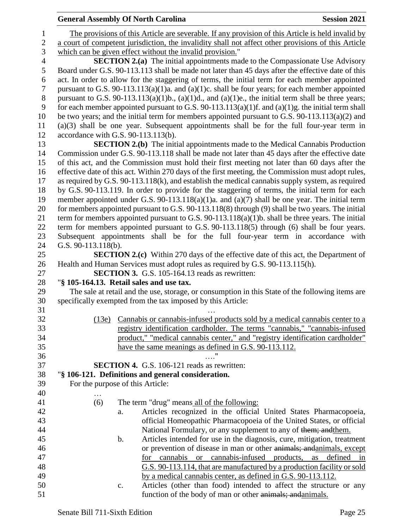| <b>General Assembly Of North Carolina</b> |  |  |
|-------------------------------------------|--|--|
|-------------------------------------------|--|--|

| $\mathbf{1}$     |                     | The provisions of this Article are severable. If any provision of this Article is held invalid by   |
|------------------|---------------------|-----------------------------------------------------------------------------------------------------|
| $\mathbf{2}$     |                     | a court of competent jurisdiction, the invalidity shall not affect other provisions of this Article |
| 3                |                     | which can be given effect without the invalid provision."                                           |
| $\overline{4}$   |                     | <b>SECTION 2.(a)</b> The initial appointments made to the Compassionate Use Advisory                |
| 5                |                     | Board under G.S. 90-113.113 shall be made not later than 45 days after the effective date of this   |
| 6                |                     | act. In order to allow for the staggering of terms, the initial term for each member appointed      |
| $\boldsymbol{7}$ |                     | pursuant to G.S. 90-113.113(a)(1)a. and (a)(1)c. shall be four years; for each member appointed     |
| $8\,$            |                     | pursuant to G.S. 90-113.113(a)(1)b., (a)(1)d., and (a)(1)e., the initial term shall be three years; |
| 9                |                     | for each member appointed pursuant to G.S. 90-113.113(a)(1)f. and (a)(1)g. the initial term shall   |
| 10               |                     | be two years; and the initial term for members appointed pursuant to G.S. 90-113.113(a)(2) and      |
| 11               |                     | $(a)(3)$ shall be one year. Subsequent appointments shall be for the full four-year term in         |
| 12               |                     | accordance with G.S. 90-113.113(b).                                                                 |
| 13               |                     | <b>SECTION 2.(b)</b> The initial appointments made to the Medical Cannabis Production               |
| 14               |                     | Commission under G.S. 90-113.118 shall be made not later than 45 days after the effective date      |
| 15               |                     | of this act, and the Commission must hold their first meeting not later than 60 days after the      |
| 16               |                     | effective date of this act. Within 270 days of the first meeting, the Commission must adopt rules,  |
| 17               |                     | as required by G.S. 90-113.118(k), and establish the medical cannabis supply system, as required    |
| 18               |                     | by G.S. 90-113.119. In order to provide for the staggering of terms, the initial term for each      |
| 19               |                     | member appointed under G.S. 90-113.118(a)(1)a. and (a)(7) shall be one year. The initial term       |
| 20               |                     | for members appointed pursuant to G.S. 90-113.118(8) through (9) shall be two years. The initial    |
| 21               |                     | term for members appointed pursuant to G.S. 90-113.118(a)(1)b. shall be three years. The initial    |
| 22               |                     | term for members appointed pursuant to G.S. 90-113.118(5) through (6) shall be four years.          |
| 23               |                     | Subsequent appointments shall be for the full four-year term in accordance with                     |
| 24               | G.S. 90-113.118(b). |                                                                                                     |
| 25               |                     | <b>SECTION 2.(c)</b> Within 270 days of the effective date of this act, the Department of           |
| 26               |                     | Health and Human Services must adopt rules as required by G.S. 90-113.115(h).                       |
| 27               |                     | <b>SECTION 3.</b> G.S. 105-164.13 reads as rewritten:                                               |
| 28               |                     | "§ 105-164.13. Retail sales and use tax.                                                            |
| 29               |                     | The sale at retail and the use, storage, or consumption in this State of the following items are    |
| 30               |                     | specifically exempted from the tax imposed by this Article:                                         |
| 31               |                     |                                                                                                     |
| 32               | (13e)               | Cannabis or cannabis-infused products sold by a medical cannabis center to a                        |
| 33               |                     | registry identification cardholder. The terms "cannabis," "cannabis-infused                         |
| 34               |                     | product," "medical cannabis center," and "registry identification cardholder"                       |
| 35               |                     | have the same meanings as defined in G.S. 90-113.112.                                               |
| 36               |                     | 11                                                                                                  |
| 37               |                     | <b>SECTION 4.</b> G.S. 106-121 reads as rewritten:                                                  |
| 38               |                     | "§ 106-121. Definitions and general consideration.                                                  |
| 39               |                     | For the purpose of this Article:                                                                    |
| 40               |                     |                                                                                                     |
| 41               | (6)                 | The term "drug" means all of the following:                                                         |
| 42               |                     | Articles recognized in the official United States Pharmacopoeia,<br>a.                              |
| 43               |                     | official Homeopathic Pharmacopoeia of the United States, or official                                |
| 44               |                     | National Formulary, or any supplement to any of them; and them.                                     |
| 45               |                     | Articles intended for use in the diagnosis, cure, mitigation, treatment<br>$\mathbf b$ .            |
| 46               |                     | or prevention of disease in man or other animals; and animals, except                               |
| 47               |                     | cannabis-infused products,<br>as<br>defined<br>for cannabis<br><sub>or</sub><br>in                  |
| 48               |                     | G.S. 90-113.114, that are manufactured by a production facility or sold                             |
| 49               |                     | by a medical cannabis center, as defined in G.S. 90-113.112.                                        |
| 50               |                     | Articles (other than food) intended to affect the structure or any<br>$\mathbf{c}$ .                |
| 51               |                     | function of the body of man or other animals; and animals.                                          |
|                  |                     |                                                                                                     |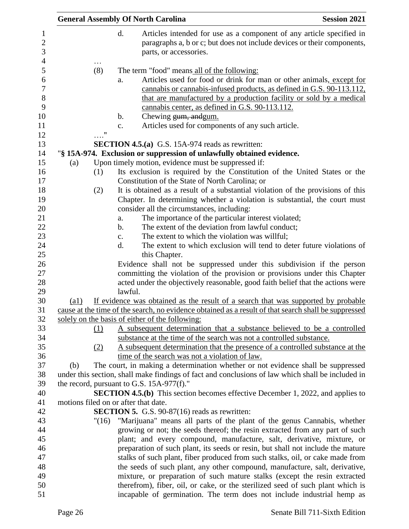|                                                                                                      |                                                                                                                                                |                   |                | <b>General Assembly Of North Carolina</b>                                                                                                                                                                                                                               | <b>Session 2021</b> |
|------------------------------------------------------------------------------------------------------|------------------------------------------------------------------------------------------------------------------------------------------------|-------------------|----------------|-------------------------------------------------------------------------------------------------------------------------------------------------------------------------------------------------------------------------------------------------------------------------|---------------------|
|                                                                                                      |                                                                                                                                                |                   | d.             | Articles intended for use as a component of any article specified in<br>paragraphs a, b or c; but does not include devices or their components,<br>parts, or accessories.                                                                                               |                     |
|                                                                                                      |                                                                                                                                                | (8)               |                | The term "food" means all of the following:                                                                                                                                                                                                                             |                     |
|                                                                                                      |                                                                                                                                                |                   | a.             | Articles used for food or drink for man or other animals, except for<br>cannabis or cannabis-infused products, as defined in G.S. 90-113.112,<br>that are manufactured by a production facility or sold by a medical<br>cannabis center, as defined in G.S. 90-113.112. |                     |
|                                                                                                      |                                                                                                                                                |                   | b.             | Chewing gum, and gum.                                                                                                                                                                                                                                                   |                     |
|                                                                                                      |                                                                                                                                                |                   | $\mathbf{c}$ . | Articles used for components of any such article.                                                                                                                                                                                                                       |                     |
|                                                                                                      |                                                                                                                                                | $^{\prime\prime}$ |                | <b>SECTION 4.5.(a)</b> G.S. 15A-974 reads as rewritten:                                                                                                                                                                                                                 |                     |
|                                                                                                      |                                                                                                                                                |                   |                | "§ 15A-974. Exclusion or suppression of unlawfully obtained evidence.                                                                                                                                                                                                   |                     |
|                                                                                                      |                                                                                                                                                |                   |                | Upon timely motion, evidence must be suppressed if:                                                                                                                                                                                                                     |                     |
|                                                                                                      | (a)                                                                                                                                            | (1)               |                | Its exclusion is required by the Constitution of the United States or the                                                                                                                                                                                               |                     |
|                                                                                                      |                                                                                                                                                |                   |                | Constitution of the State of North Carolina; or                                                                                                                                                                                                                         |                     |
|                                                                                                      |                                                                                                                                                | (2)               |                | It is obtained as a result of a substantial violation of the provisions of this                                                                                                                                                                                         |                     |
|                                                                                                      |                                                                                                                                                |                   |                | Chapter. In determining whether a violation is substantial, the court must                                                                                                                                                                                              |                     |
|                                                                                                      |                                                                                                                                                |                   |                | consider all the circumstances, including:                                                                                                                                                                                                                              |                     |
|                                                                                                      |                                                                                                                                                |                   | a.             | The importance of the particular interest violated;                                                                                                                                                                                                                     |                     |
|                                                                                                      |                                                                                                                                                |                   | $\mathbf b$ .  | The extent of the deviation from lawful conduct;                                                                                                                                                                                                                        |                     |
|                                                                                                      |                                                                                                                                                |                   | $\mathbf{c}$ . | The extent to which the violation was willful;                                                                                                                                                                                                                          |                     |
|                                                                                                      |                                                                                                                                                |                   | d.             | The extent to which exclusion will tend to deter future violations of                                                                                                                                                                                                   |                     |
|                                                                                                      |                                                                                                                                                |                   |                | this Chapter.                                                                                                                                                                                                                                                           |                     |
|                                                                                                      |                                                                                                                                                |                   |                | Evidence shall not be suppressed under this subdivision if the person                                                                                                                                                                                                   |                     |
|                                                                                                      |                                                                                                                                                |                   |                | committing the violation of the provision or provisions under this Chapter<br>acted under the objectively reasonable, good faith belief that the actions were                                                                                                           |                     |
|                                                                                                      |                                                                                                                                                |                   | lawful.        |                                                                                                                                                                                                                                                                         |                     |
|                                                                                                      | $\left( a1\right)$                                                                                                                             |                   |                | If evidence was obtained as the result of a search that was supported by probable                                                                                                                                                                                       |                     |
| cause at the time of the search, no evidence obtained as a result of that search shall be suppressed |                                                                                                                                                |                   |                |                                                                                                                                                                                                                                                                         |                     |
|                                                                                                      |                                                                                                                                                |                   |                | solely on the basis of either of the following:                                                                                                                                                                                                                         |                     |
|                                                                                                      |                                                                                                                                                | (1)               |                | A subsequent determination that a substance believed to be a controlled                                                                                                                                                                                                 |                     |
|                                                                                                      |                                                                                                                                                |                   |                | substance at the time of the search was not a controlled substance.                                                                                                                                                                                                     |                     |
|                                                                                                      |                                                                                                                                                | (2)               |                | A subsequent determination that the presence of a controlled substance at the                                                                                                                                                                                           |                     |
|                                                                                                      |                                                                                                                                                |                   |                | time of the search was not a violation of law.                                                                                                                                                                                                                          |                     |
|                                                                                                      | (b)                                                                                                                                            |                   |                | The court, in making a determination whether or not evidence shall be suppressed                                                                                                                                                                                        |                     |
|                                                                                                      | under this section, shall make findings of fact and conclusions of law which shall be included in<br>the record, pursuant to G.S. 15A-977(f)." |                   |                |                                                                                                                                                                                                                                                                         |                     |
|                                                                                                      |                                                                                                                                                |                   |                |                                                                                                                                                                                                                                                                         |                     |
|                                                                                                      |                                                                                                                                                |                   |                | <b>SECTION 4.5.(b)</b> This section becomes effective December 1, 2022, and applies to<br>motions filed on or after that date.                                                                                                                                          |                     |
|                                                                                                      |                                                                                                                                                |                   |                | <b>SECTION 5.</b> G.S. 90-87(16) reads as rewritten:                                                                                                                                                                                                                    |                     |
|                                                                                                      |                                                                                                                                                | "(16)             |                | "Marijuana" means all parts of the plant of the genus Cannabis, whether                                                                                                                                                                                                 |                     |
|                                                                                                      |                                                                                                                                                |                   |                | growing or not; the seeds thereof; the resin extracted from any part of such                                                                                                                                                                                            |                     |
|                                                                                                      |                                                                                                                                                |                   |                | plant; and every compound, manufacture, salt, derivative, mixture, or                                                                                                                                                                                                   |                     |
|                                                                                                      |                                                                                                                                                |                   |                | preparation of such plant, its seeds or resin, but shall not include the mature                                                                                                                                                                                         |                     |
|                                                                                                      |                                                                                                                                                |                   |                | stalks of such plant, fiber produced from such stalks, oil, or cake made from                                                                                                                                                                                           |                     |
|                                                                                                      |                                                                                                                                                |                   |                | the seeds of such plant, any other compound, manufacture, salt, derivative,                                                                                                                                                                                             |                     |
|                                                                                                      |                                                                                                                                                |                   |                | mixture, or preparation of such mature stalks (except the resin extracted                                                                                                                                                                                               |                     |
|                                                                                                      |                                                                                                                                                |                   |                | therefrom), fiber, oil, or cake, or the sterilized seed of such plant which is                                                                                                                                                                                          |                     |
|                                                                                                      |                                                                                                                                                |                   |                | incapable of germination. The term does not include industrial hemp as                                                                                                                                                                                                  |                     |